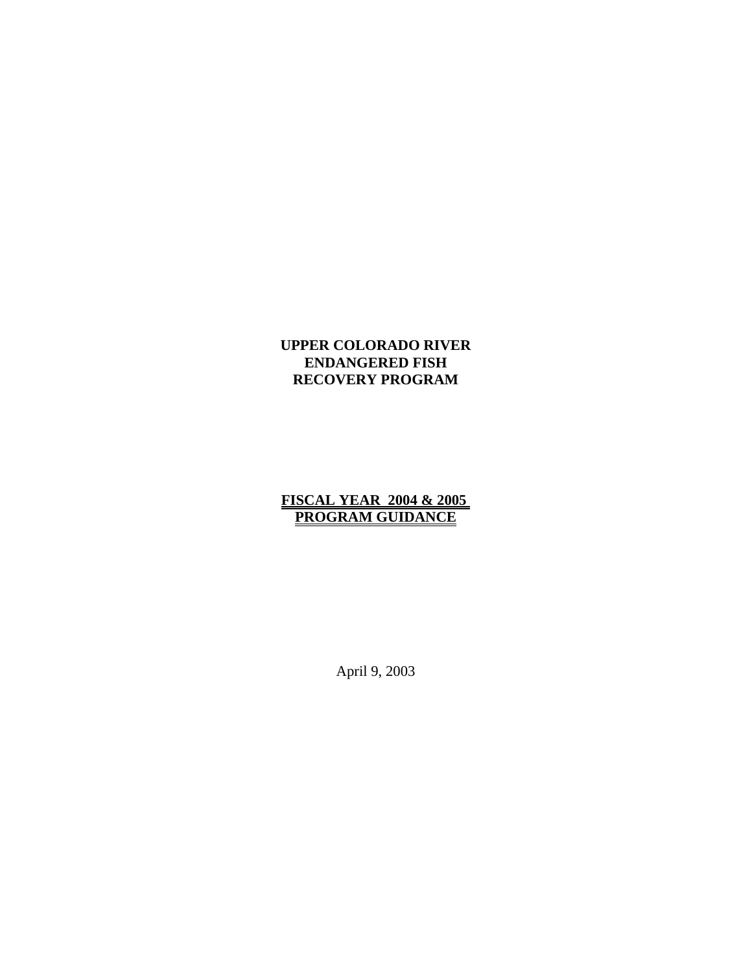#### **UPPER COLORADO RIVER ENDANGERED FISH RECOVERY PROGRAM**

# **FISCAL YEAR 2004 & 2005 PROGRAM GUIDANCE**

April 9, 2003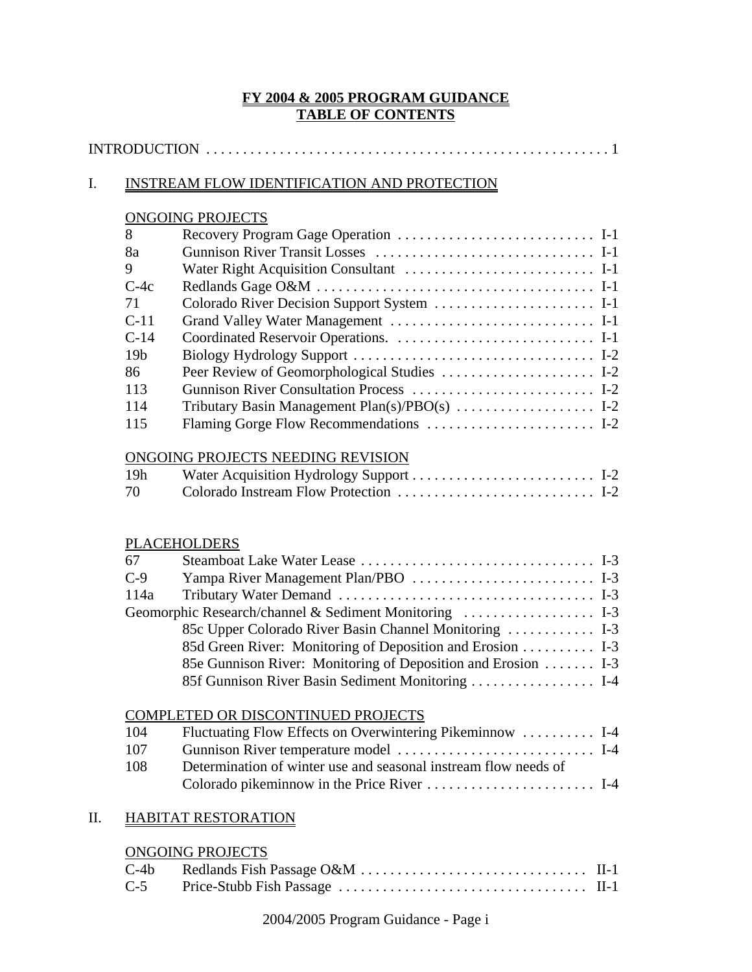## **FY 2004 & 2005 PROGRAM GUIDANCE TABLE OF CONTENTS**

#### I. INSTREAM FLOW IDENTIFICATION AND PROTECTION

#### ONGOING PROJECTS

| 8               |  |
|-----------------|--|
| 8a              |  |
| 9               |  |
| $C-4c$          |  |
| 71              |  |
| $C-11$          |  |
| $C-14$          |  |
| 19 <sub>b</sub> |  |
| 86              |  |
| 113             |  |
| 114             |  |
| 115             |  |

# ONGOING PROJECTS NEEDING REVISION

| 19 <sub>h</sub> |  |
|-----------------|--|
| 70              |  |

#### **PLACEHOLDERS**

| 67 —  |                                                               |  |
|-------|---------------------------------------------------------------|--|
| $C-9$ |                                                               |  |
| 114a  |                                                               |  |
|       | Geomorphic Research/channel & Sediment Monitoring             |  |
|       |                                                               |  |
|       | 85d Green River: Monitoring of Deposition and Erosion  I-3    |  |
|       | 85e Gunnison River: Monitoring of Deposition and Erosion  I-3 |  |
|       |                                                               |  |
|       |                                                               |  |

### COMPLETED OR DISCONTINUED PROJECTS

| 104 | Fluctuating Flow Effects on Overwintering Pikeminnow  I-4       |
|-----|-----------------------------------------------------------------|
| 107 |                                                                 |
| 108 | Determination of winter use and seasonal instream flow needs of |
|     |                                                                 |

# II. HABITAT RESTORATION

| ONGOING PROJECTS |  |
|------------------|--|
|                  |  |
|                  |  |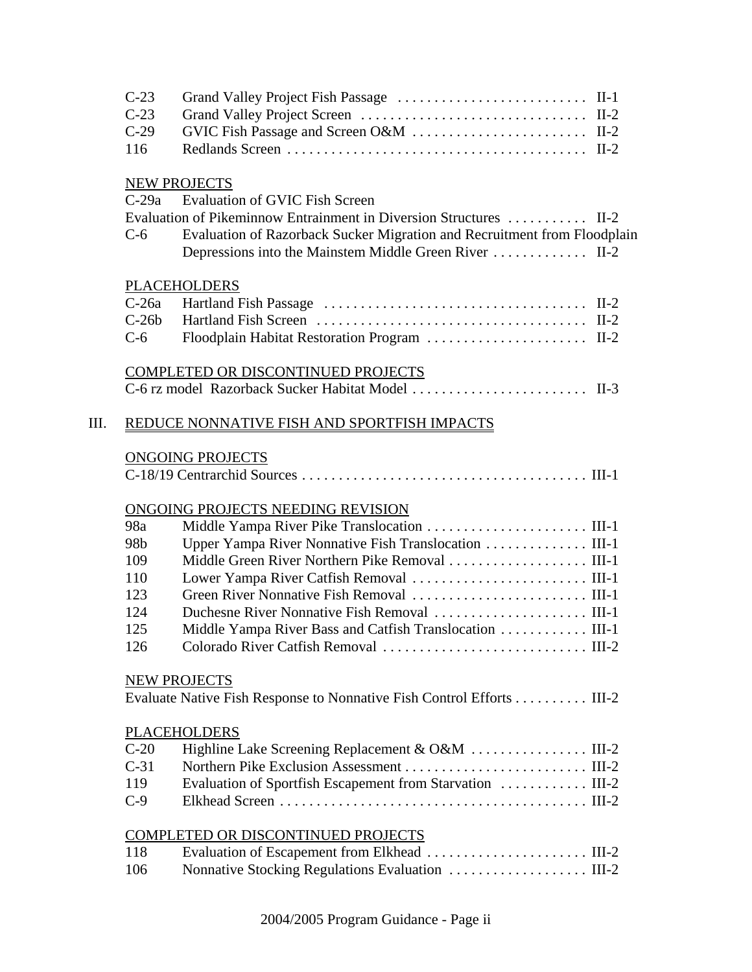|      | $C-23$  |                                                                                                                                    |
|------|---------|------------------------------------------------------------------------------------------------------------------------------------|
|      | $C-23$  |                                                                                                                                    |
|      | $C-29$  |                                                                                                                                    |
|      | 116     |                                                                                                                                    |
|      |         | <b>NEW PROJECTS</b>                                                                                                                |
|      | $C-29a$ | <b>Evaluation of GVIC Fish Screen</b>                                                                                              |
|      |         | Evaluation of Pikeminnow Entrainment in Diversion Structures  II-2                                                                 |
|      | $C-6$   | Evaluation of Razorback Sucker Migration and Recruitment from Floodplain<br>Depressions into the Mainstem Middle Green River  II-2 |
|      |         | <b>PLACEHOLDERS</b>                                                                                                                |
|      | $C-26a$ |                                                                                                                                    |
|      | $C-26b$ |                                                                                                                                    |
|      | $C-6$   | Floodplain Habitat Restoration Program  II-2                                                                                       |
|      |         | <b>COMPLETED OR DISCONTINUED PROJECTS</b>                                                                                          |
|      |         | C-6 rz model Razorback Sucker Habitat Model  II-3                                                                                  |
| III. |         | REDUCE NONNATIVE FISH AND SPORTFISH IMPACTS                                                                                        |
|      |         | <b>ONGOING PROJECTS</b>                                                                                                            |
|      |         |                                                                                                                                    |
|      |         | ONGOING PROJECTS NEEDING REVISION                                                                                                  |
|      | 98a     |                                                                                                                                    |
|      | 98b     | Upper Yampa River Nonnative Fish Translocation  III-1                                                                              |
|      | 109     | Middle Green River Northern Pike Removal  III-1                                                                                    |
|      | 110     | Lower Yampa River Catfish Removal  III-1                                                                                           |
|      | 123     | Green River Nonnative Fish Removal  III-1                                                                                          |
|      | 124     |                                                                                                                                    |
|      | 125     | Middle Yampa River Bass and Catfish Translocation  III-1                                                                           |
|      | 126     |                                                                                                                                    |
|      |         | <b>NEW PROJECTS</b>                                                                                                                |
|      |         | Evaluate Native Fish Response to Nonnative Fish Control Efforts III-2                                                              |
|      |         | <b>PLACEHOLDERS</b>                                                                                                                |
|      | $C-20$  |                                                                                                                                    |
|      | $C-31$  |                                                                                                                                    |
|      | 119     | Evaluation of Sportfish Escapement from Starvation  III-2                                                                          |
|      | $C-9$   |                                                                                                                                    |
|      |         | COMPLETED OR DISCONTINUED PROJECTS                                                                                                 |
|      | 118     |                                                                                                                                    |
|      | 106     | Nonnative Stocking Regulations Evaluation  III-2                                                                                   |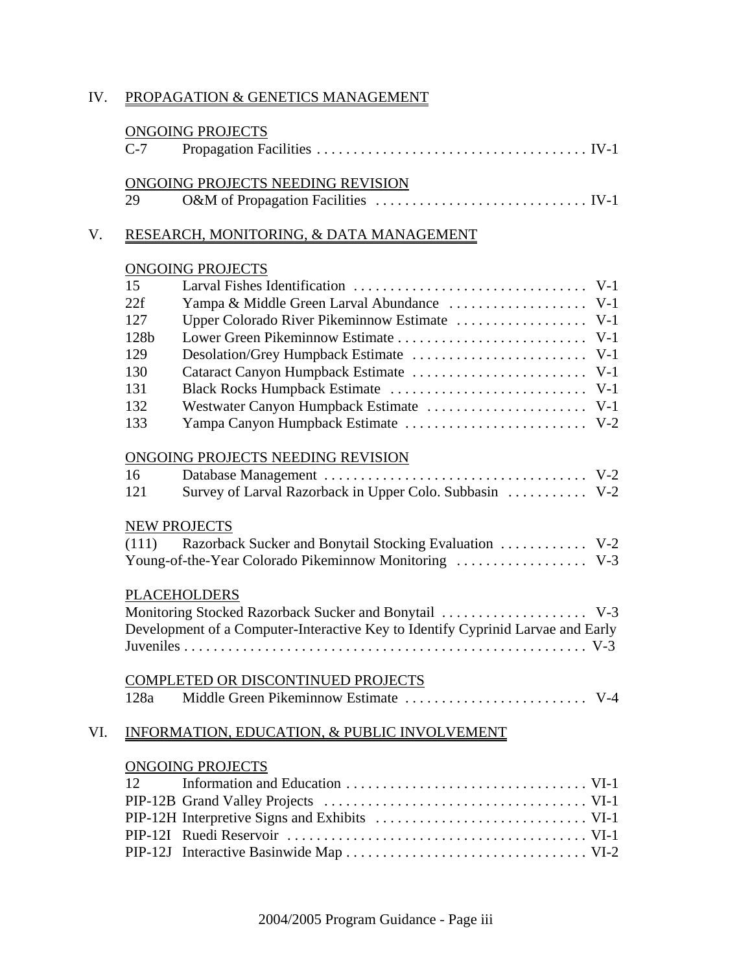# IV. PROPAGATION & GENETICS MANAGEMENT

## ONGOING PROJECTS

| ONGOING PROJECTS NEEDING REVISION |  |
|-----------------------------------|--|
|                                   |  |

#### V. RESEARCH, MONITORING, & DATA MANAGEMENT

#### ONGOING PROJECTS

| 15   |                                            |  |
|------|--------------------------------------------|--|
| 22f  | Yampa & Middle Green Larval Abundance  V-1 |  |
| 127  |                                            |  |
| 128b |                                            |  |
| 129  |                                            |  |
| 130  |                                            |  |
| 131  |                                            |  |
| 132  |                                            |  |
| 133  |                                            |  |
|      |                                            |  |

#### ONGOING PROJECTS NEEDING REVISION

| 16  |                                                         |  |
|-----|---------------------------------------------------------|--|
| 121 | Survey of Larval Razorback in Upper Colo. Subbasin  V-2 |  |

#### NEW PROJECTS

| (111) Razorback Sucker and Bonytail Stocking Evaluation  V-2 |  |
|--------------------------------------------------------------|--|
|                                                              |  |

#### **PLACEHOLDERS**

| Development of a Computer-Interactive Key to Identify Cyprinid Larvae and Early |  |
|---------------------------------------------------------------------------------|--|
|                                                                                 |  |

#### COMPLETED OR DISCONTINUED PROJECTS

| 128a |  |  |
|------|--|--|
|      |  |  |

# VI. INFORMATION, EDUCATION, & PUBLIC INVOLVEMENT

#### ONGOING PROJECTS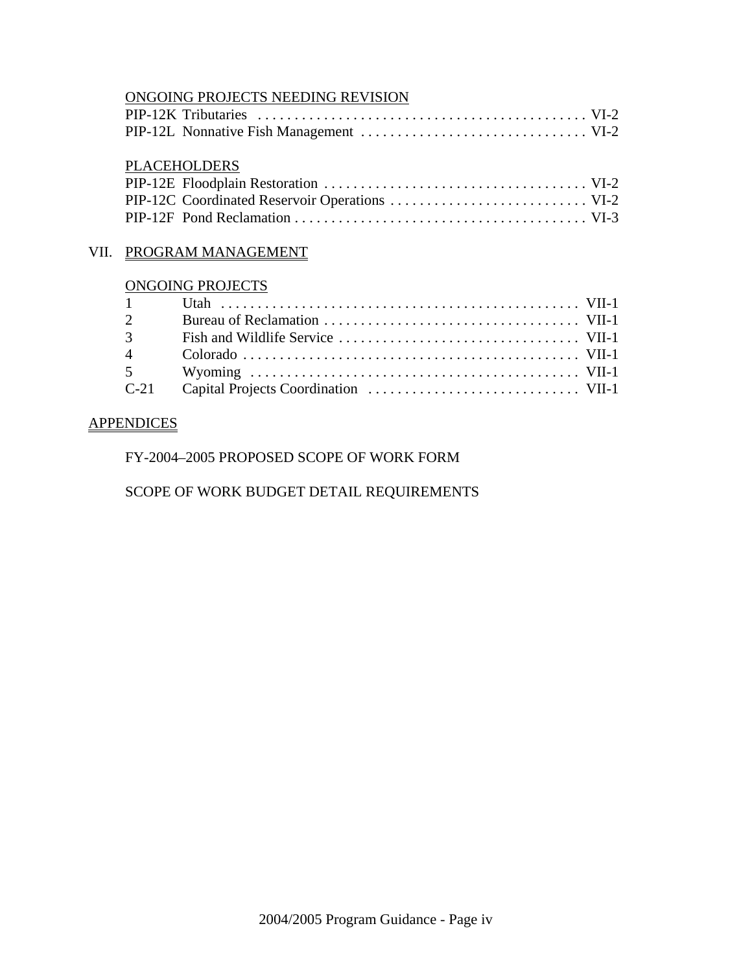#### ONGOING PROJECTS NEEDING REVISION

#### PLACEHOLDERS

# VII. PROGRAM MANAGEMENT

## ONGOING PROJECTS

| $\overline{2}$ |  |
|----------------|--|
| $\overline{3}$ |  |
| $\overline{4}$ |  |
|                |  |
|                |  |

# **APPENDICES**

FY-2004–2005 PROPOSED SCOPE OF WORK FORM

#### SCOPE OF WORK BUDGET DETAIL REQUIREMENTS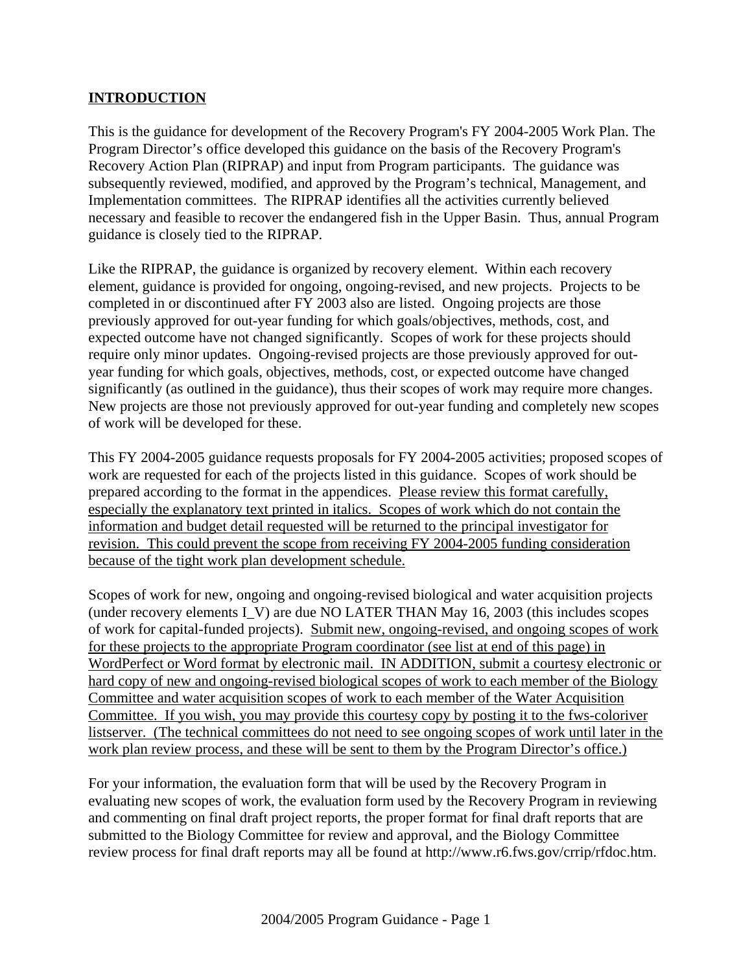#### **INTRODUCTION**

This is the guidance for development of the Recovery Program's FY 2004-2005 Work Plan. The Program Director's office developed this guidance on the basis of the Recovery Program's Recovery Action Plan (RIPRAP) and input from Program participants. The guidance was subsequently reviewed, modified, and approved by the Program's technical, Management, and Implementation committees. The RIPRAP identifies all the activities currently believed necessary and feasible to recover the endangered fish in the Upper Basin. Thus, annual Program guidance is closely tied to the RIPRAP.

Like the RIPRAP, the guidance is organized by recovery element. Within each recovery element, guidance is provided for ongoing, ongoing-revised, and new projects. Projects to be completed in or discontinued after FY 2003 also are listed. Ongoing projects are those previously approved for out-year funding for which goals/objectives, methods, cost, and expected outcome have not changed significantly. Scopes of work for these projects should require only minor updates. Ongoing-revised projects are those previously approved for outyear funding for which goals, objectives, methods, cost, or expected outcome have changed significantly (as outlined in the guidance), thus their scopes of work may require more changes. New projects are those not previously approved for out-year funding and completely new scopes of work will be developed for these.

This FY 2004-2005 guidance requests proposals for FY 2004-2005 activities; proposed scopes of work are requested for each of the projects listed in this guidance. Scopes of work should be prepared according to the format in the appendices. Please review this format carefully, especially the explanatory text printed in italics. Scopes of work which do not contain the information and budget detail requested will be returned to the principal investigator for revision. This could prevent the scope from receiving FY 2004-2005 funding consideration because of the tight work plan development schedule.

Scopes of work for new, ongoing and ongoing-revised biological and water acquisition projects (under recovery elements I\_V) are due NO LATER THAN May 16, 2003 (this includes scopes of work for capital-funded projects). Submit new, ongoing-revised, and ongoing scopes of work for these projects to the appropriate Program coordinator (see list at end of this page) in WordPerfect or Word format by electronic mail. IN ADDITION, submit a courtesy electronic or hard copy of new and ongoing-revised biological scopes of work to each member of the Biology Committee and water acquisition scopes of work to each member of the Water Acquisition Committee. If you wish, you may provide this courtesy copy by posting it to the fws-coloriver listserver. (The technical committees do not need to see ongoing scopes of work until later in the work plan review process, and these will be sent to them by the Program Director's office.)

For your information, the evaluation form that will be used by the Recovery Program in evaluating new scopes of work, the evaluation form used by the Recovery Program in reviewing and commenting on final draft project reports, the proper format for final draft reports that are submitted to the Biology Committee for review and approval, and the Biology Committee review process for final draft reports may all be found at http://www.r6.fws.gov/crrip/rfdoc.htm.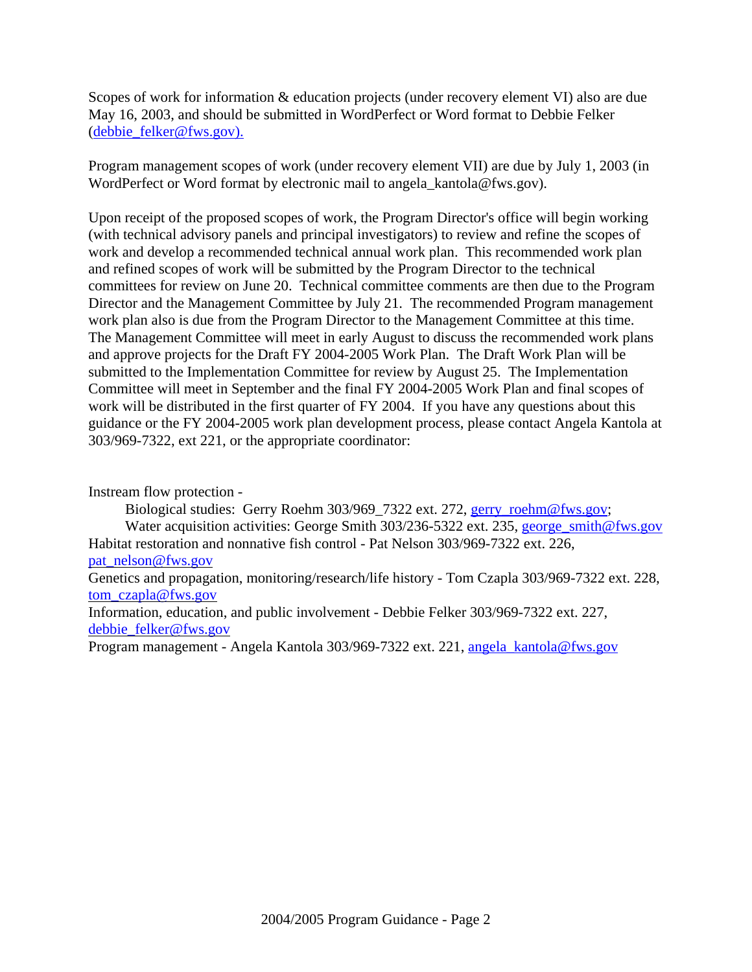Scopes of work for information & education projects (under recovery element VI) also are due May 16, 2003, and should be submitted in WordPerfect or Word format to Debbie Felker (debbie\_felker@fws.gov).

Program management scopes of work (under recovery element VII) are due by July 1, 2003 (in WordPerfect or Word format by electronic mail to angela kantola@fws.gov).

Upon receipt of the proposed scopes of work, the Program Director's office will begin working (with technical advisory panels and principal investigators) to review and refine the scopes of work and develop a recommended technical annual work plan. This recommended work plan and refined scopes of work will be submitted by the Program Director to the technical committees for review on June 20. Technical committee comments are then due to the Program Director and the Management Committee by July 21. The recommended Program management work plan also is due from the Program Director to the Management Committee at this time. The Management Committee will meet in early August to discuss the recommended work plans and approve projects for the Draft FY 2004-2005 Work Plan. The Draft Work Plan will be submitted to the Implementation Committee for review by August 25. The Implementation Committee will meet in September and the final FY 2004-2005 Work Plan and final scopes of work will be distributed in the first quarter of FY 2004. If you have any questions about this guidance or the FY 2004-2005 work plan development process, please contact Angela Kantola at 303/969-7322, ext 221, or the appropriate coordinator:

Instream flow protection -

Biological studies: Gerry Roehm 303/969\_7322 ext. 272, gerry\_roehm@fws.gov; Water acquisition activities: George Smith 303/236-5322 ext. 235, george\_smith@fws.gov Habitat restoration and nonnative fish control - Pat Nelson 303/969-7322 ext. 226, pat\_nelson@fws.gov

Genetics and propagation, monitoring/research/life history - Tom Czapla 303/969-7322 ext. 228, tom\_czapla@fws.gov

Information, education, and public involvement - Debbie Felker 303/969-7322 ext. 227, debbie\_felker@fws.gov

Program management - Angela Kantola 303/969-7322 ext. 221, angela\_kantola@fws.gov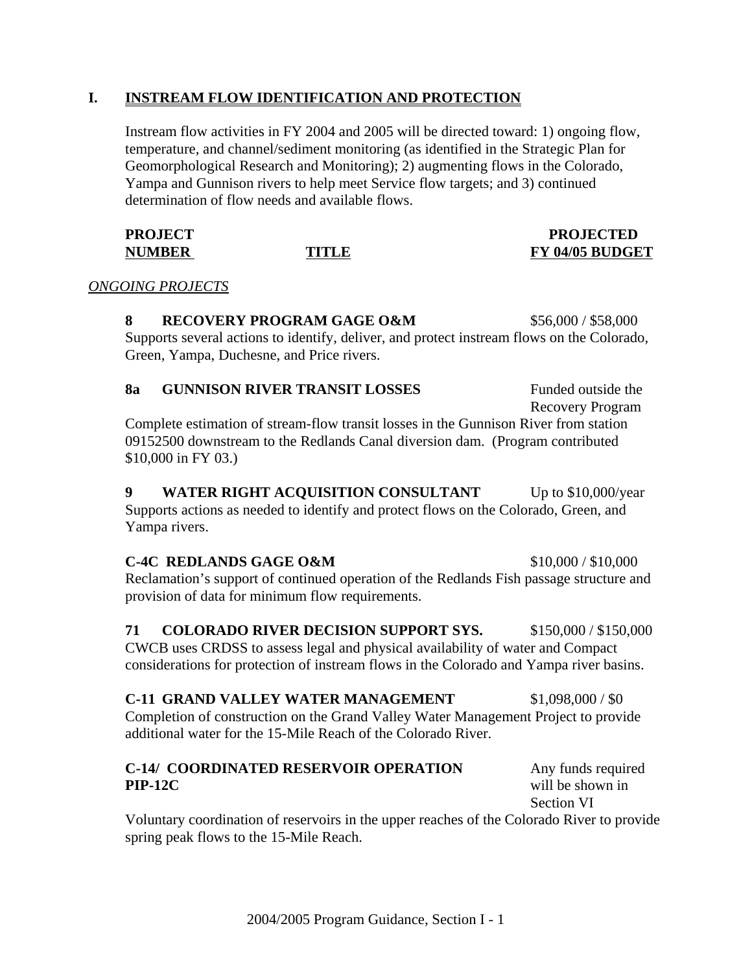#### **I. INSTREAM FLOW IDENTIFICATION AND PROTECTION**

Instream flow activities in FY 2004 and 2005 will be directed toward: 1) ongoing flow, temperature, and channel/sediment monitoring (as identified in the Strategic Plan for Geomorphological Research and Monitoring); 2) augmenting flows in the Colorado, Yampa and Gunnison rivers to help meet Service flow targets; and 3) continued determination of flow needs and available flows.

**PROJECT PROJECT PROJECTED NUMBER TITLE FY 04/05 BUDGET** 

#### *ONGOING PROJECTS*

#### **8 RECOVERY PROGRAM GAGE O&M** \$56,000 / \$58,000

Supports several actions to identify, deliver, and protect instream flows on the Colorado, Green, Yampa, Duchesne, and Price rivers.

#### **8a GUNNISON RIVER TRANSIT LOSSES** Funded outside the

Recovery Program Complete estimation of stream-flow transit losses in the Gunnison River from station 09152500 downstream to the Redlands Canal diversion dam. (Program contributed \$10,000 in FY 03.)

**9 WATER RIGHT ACQUISITION CONSULTANT** Up to \$10,000/year Supports actions as needed to identify and protect flows on the Colorado, Green, and Yampa rivers.

**C-4C REDLANDS GAGE O&M** \$10,000 / \$10,000

Reclamation's support of continued operation of the Redlands Fish passage structure and provision of data for minimum flow requirements.

**71 COLORADO RIVER DECISION SUPPORT SYS.** \$150,000 / \$150,000 CWCB uses CRDSS to assess legal and physical availability of water and Compact considerations for protection of instream flows in the Colorado and Yampa river basins.

# **C-11 GRAND VALLEY WATER MANAGEMENT** \$1,098,000 / \$0 Completion of construction on the Grand Valley Water Management Project to provide additional water for the 15-Mile Reach of the Colorado River.

#### **C-14/ COORDINATED RESERVOIR OPERATION** Any funds required **PIP-12C** will be shown in

Section VI

Voluntary coordination of reservoirs in the upper reaches of the Colorado River to provide spring peak flows to the 15-Mile Reach.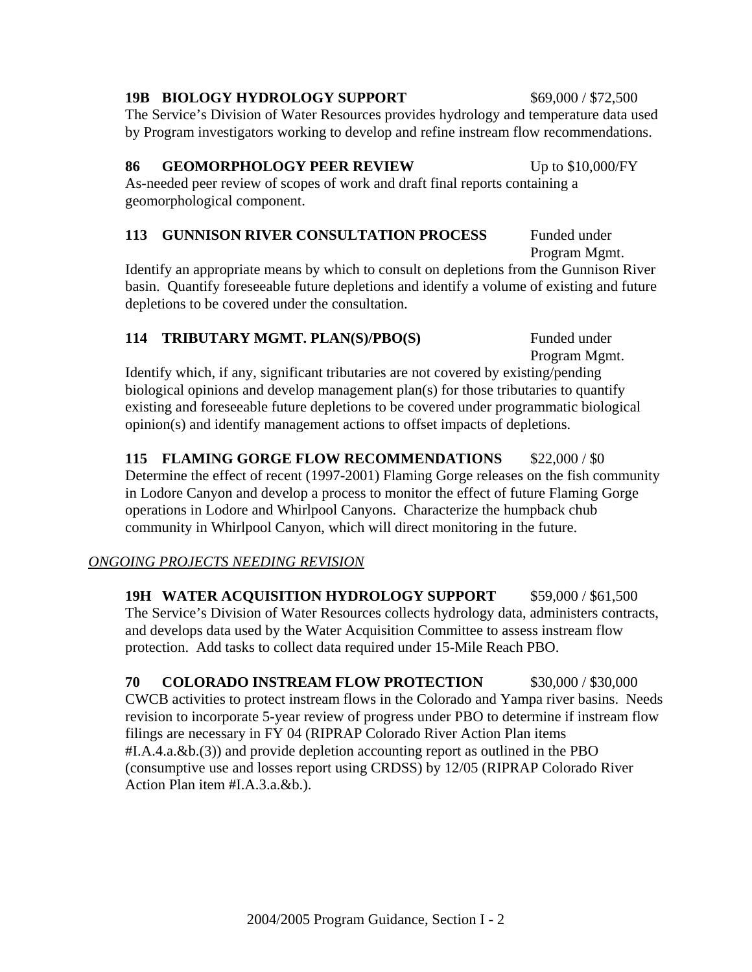#### **19B BIOLOGY HYDROLOGY SUPPORT**  $$69,000 / $72,500$

The Service's Division of Water Resources provides hydrology and temperature data used by Program investigators working to develop and refine instream flow recommendations.

#### **86 GEOMORPHOLOGY PEER REVIEW** Up to \$10,000/FY

As-needed peer review of scopes of work and draft final reports containing a geomorphological component.

#### **113 GUNNISON RIVER CONSULTATION PROCESS** Funded under

Identify an appropriate means by which to consult on depletions from the Gunnison River basin. Quantify foreseeable future depletions and identify a volume of existing and future depletions to be covered under the consultation.

#### **114 TRIBUTARY MGMT. PLAN(S)/PBO(S)** Funded under

Program Mgmt. Identify which, if any, significant tributaries are not covered by existing/pending biological opinions and develop management plan(s) for those tributaries to quantify existing and foreseeable future depletions to be covered under programmatic biological opinion(s) and identify management actions to offset impacts of depletions.

115 FLAMING GORGE FLOW RECOMMENDATIONS \$22,000 / \$0 Determine the effect of recent (1997-2001) Flaming Gorge releases on the fish community in Lodore Canyon and develop a process to monitor the effect of future Flaming Gorge operations in Lodore and Whirlpool Canyons. Characterize the humpback chub community in Whirlpool Canyon, which will direct monitoring in the future.

#### *ONGOING PROJECTS NEEDING REVISION*

**19H WATER ACQUISITION HYDROLOGY SUPPORT \$59,000 / \$61,500** The Service's Division of Water Resources collects hydrology data, administers contracts, and develops data used by the Water Acquisition Committee to assess instream flow protection. Add tasks to collect data required under 15-Mile Reach PBO.

**70 COLORADO INSTREAM FLOW PROTECTION** \$30,000 / \$30,000 CWCB activities to protect instream flows in the Colorado and Yampa river basins. Needs revision to incorporate 5-year review of progress under PBO to determine if instream flow filings are necessary in FY 04 (RIPRAP Colorado River Action Plan items #I.A.4.a.&b.(3)) and provide depletion accounting report as outlined in the PBO (consumptive use and losses report using CRDSS) by 12/05 (RIPRAP Colorado River Action Plan item #I.A.3.a.&b.).

Program Mgmt.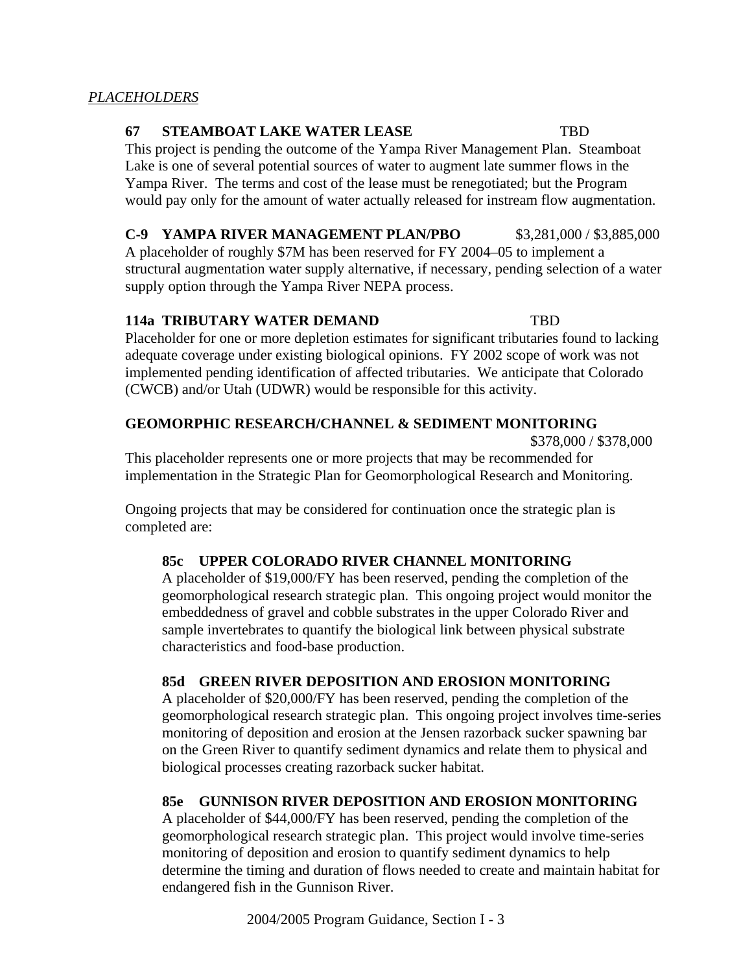#### *PLACEHOLDERS*

# **67 STEAMBOAT LAKE WATER LEASE** TBD

This project is pending the outcome of the Yampa River Management Plan. Steamboat Lake is one of several potential sources of water to augment late summer flows in the Yampa River. The terms and cost of the lease must be renegotiated; but the Program would pay only for the amount of water actually released for instream flow augmentation.

### **C-9 YAMPA RIVER MANAGEMENT PLAN/PBO** \$3,281,000 / \$3,885,000

A placeholder of roughly \$7M has been reserved for FY 2004–05 to implement a structural augmentation water supply alternative, if necessary, pending selection of a water supply option through the Yampa River NEPA process.

#### **114a TRIBUTARY WATER DEMAND** TBD

Placeholder for one or more depletion estimates for significant tributaries found to lacking adequate coverage under existing biological opinions. FY 2002 scope of work was not implemented pending identification of affected tributaries. We anticipate that Colorado (CWCB) and/or Utah (UDWR) would be responsible for this activity.

# **GEOMORPHIC RESEARCH/CHANNEL & SEDIMENT MONITORING**

\$378,000 / \$378,000 This placeholder represents one or more projects that may be recommended for implementation in the Strategic Plan for Geomorphological Research and Monitoring.

Ongoing projects that may be considered for continuation once the strategic plan is completed are:

# **85c UPPER COLORADO RIVER CHANNEL MONITORING**

A placeholder of \$19,000/FY has been reserved, pending the completion of the geomorphological research strategic plan. This ongoing project would monitor the embeddedness of gravel and cobble substrates in the upper Colorado River and sample invertebrates to quantify the biological link between physical substrate characteristics and food-base production.

#### **85d GREEN RIVER DEPOSITION AND EROSION MONITORING**

A placeholder of \$20,000/FY has been reserved, pending the completion of the geomorphological research strategic plan. This ongoing project involves time-series monitoring of deposition and erosion at the Jensen razorback sucker spawning bar on the Green River to quantify sediment dynamics and relate them to physical and biological processes creating razorback sucker habitat.

# **85e GUNNISON RIVER DEPOSITION AND EROSION MONITORING**

A placeholder of \$44,000/FY has been reserved, pending the completion of the geomorphological research strategic plan. This project would involve time-series monitoring of deposition and erosion to quantify sediment dynamics to help determine the timing and duration of flows needed to create and maintain habitat for endangered fish in the Gunnison River.

2004/2005 Program Guidance, Section I - 3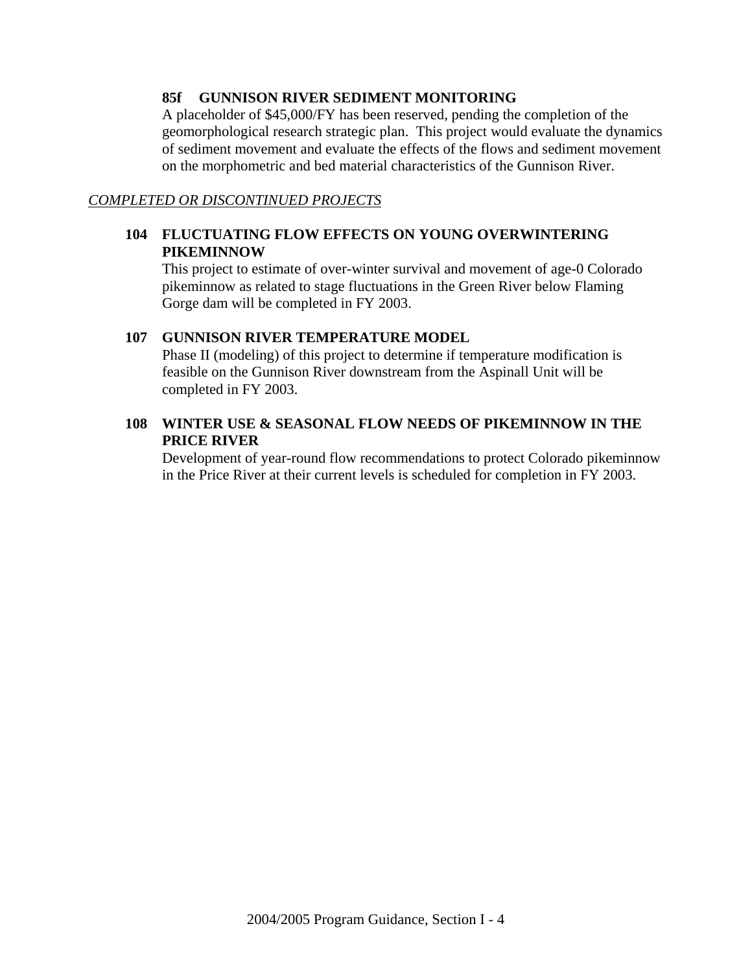#### **85f GUNNISON RIVER SEDIMENT MONITORING**

A placeholder of \$45,000/FY has been reserved, pending the completion of the geomorphological research strategic plan. This project would evaluate the dynamics of sediment movement and evaluate the effects of the flows and sediment movement on the morphometric and bed material characteristics of the Gunnison River.

#### *COMPLETED OR DISCONTINUED PROJECTS*

### **104 FLUCTUATING FLOW EFFECTS ON YOUNG OVERWINTERING PIKEMINNOW**

This project to estimate of over-winter survival and movement of age-0 Colorado pikeminnow as related to stage fluctuations in the Green River below Flaming Gorge dam will be completed in FY 2003.

#### **107 GUNNISON RIVER TEMPERATURE MODEL**

Phase II (modeling) of this project to determine if temperature modification is feasible on the Gunnison River downstream from the Aspinall Unit will be completed in FY 2003.

#### **108 WINTER USE & SEASONAL FLOW NEEDS OF PIKEMINNOW IN THE PRICE RIVER**

Development of year-round flow recommendations to protect Colorado pikeminnow in the Price River at their current levels is scheduled for completion in FY 2003.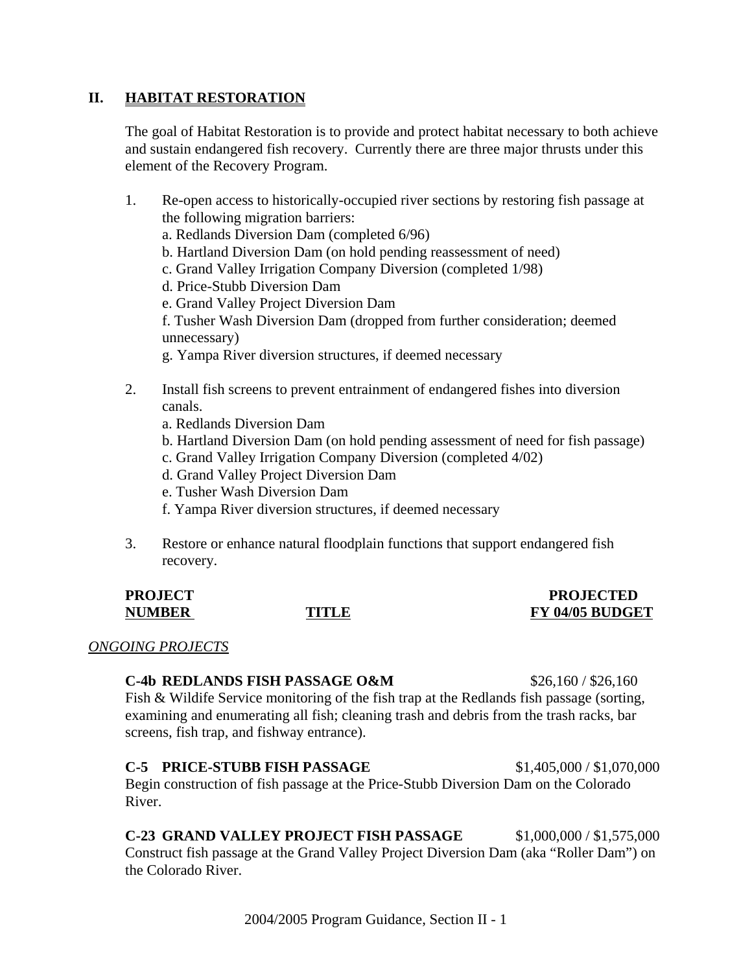#### **II. HABITAT RESTORATION**

The goal of Habitat Restoration is to provide and protect habitat necessary to both achieve and sustain endangered fish recovery. Currently there are three major thrusts under this element of the Recovery Program.

- 1. Re-open access to historically-occupied river sections by restoring fish passage at the following migration barriers: a. Redlands Diversion Dam (completed 6/96) b. Hartland Diversion Dam (on hold pending reassessment of need) c. Grand Valley Irrigation Company Diversion (completed 1/98) d. Price-Stubb Diversion Dam e. Grand Valley Project Diversion Dam f. Tusher Wash Diversion Dam (dropped from further consideration; deemed unnecessary) g. Yampa River diversion structures, if deemed necessary
- 2. Install fish screens to prevent entrainment of endangered fishes into diversion canals.
	- a. Redlands Diversion Dam
	- b. Hartland Diversion Dam (on hold pending assessment of need for fish passage)
	- c. Grand Valley Irrigation Company Diversion (completed 4/02)
	- d. Grand Valley Project Diversion Dam
	- e. Tusher Wash Diversion Dam
	- f. Yampa River diversion structures, if deemed necessary
- 3. Restore or enhance natural floodplain functions that support endangered fish recovery.

| <b>PROJECT</b> |       | <b>PROJECTED</b>       |
|----------------|-------|------------------------|
| <b>NUMBER</b>  | TITLE | <b>FY 04/05 BUDGET</b> |

#### *ONGOING PROJECTS*

#### **C-4b REDLANDS FISH PASSAGE O&M** \$26,160 / \$26,160

Fish & Wildife Service monitoring of the fish trap at the Redlands fish passage (sorting, examining and enumerating all fish; cleaning trash and debris from the trash racks, bar screens, fish trap, and fishway entrance).

**C-5 PRICE-STUBB FISH PASSAGE** \$1,405,000 / \$1,070,000 Begin construction of fish passage at the Price-Stubb Diversion Dam on the Colorado River.

**C-23 GRAND VALLEY PROJECT FISH PASSAGE** \$1,000,000 / \$1,575,000 Construct fish passage at the Grand Valley Project Diversion Dam (aka "Roller Dam") on the Colorado River.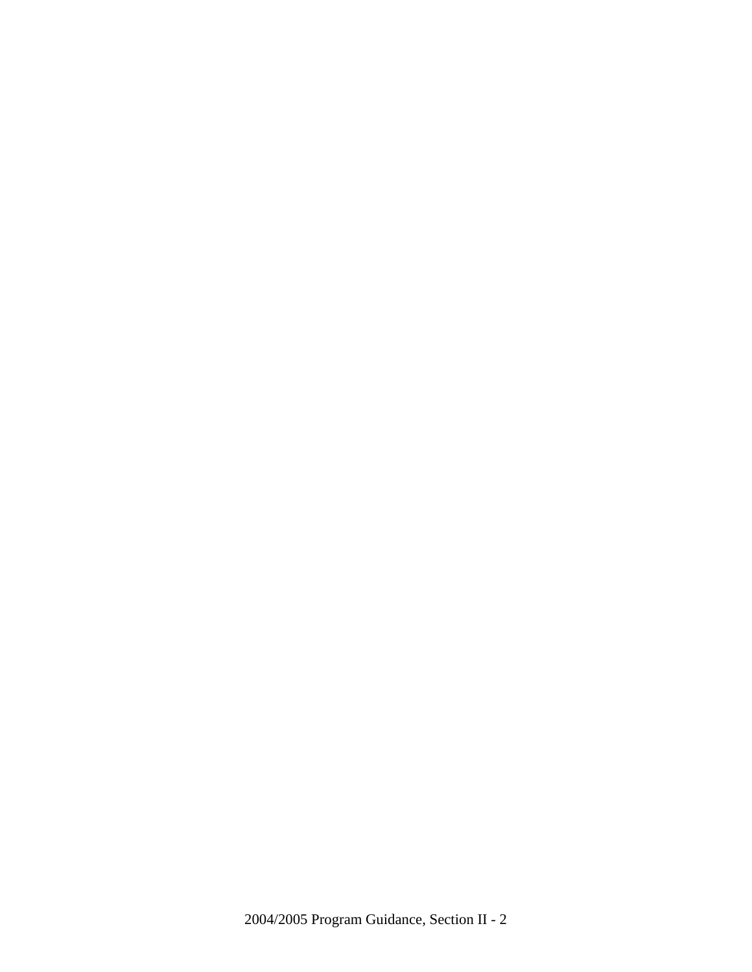2004/2005 Program Guidance, Section II - 2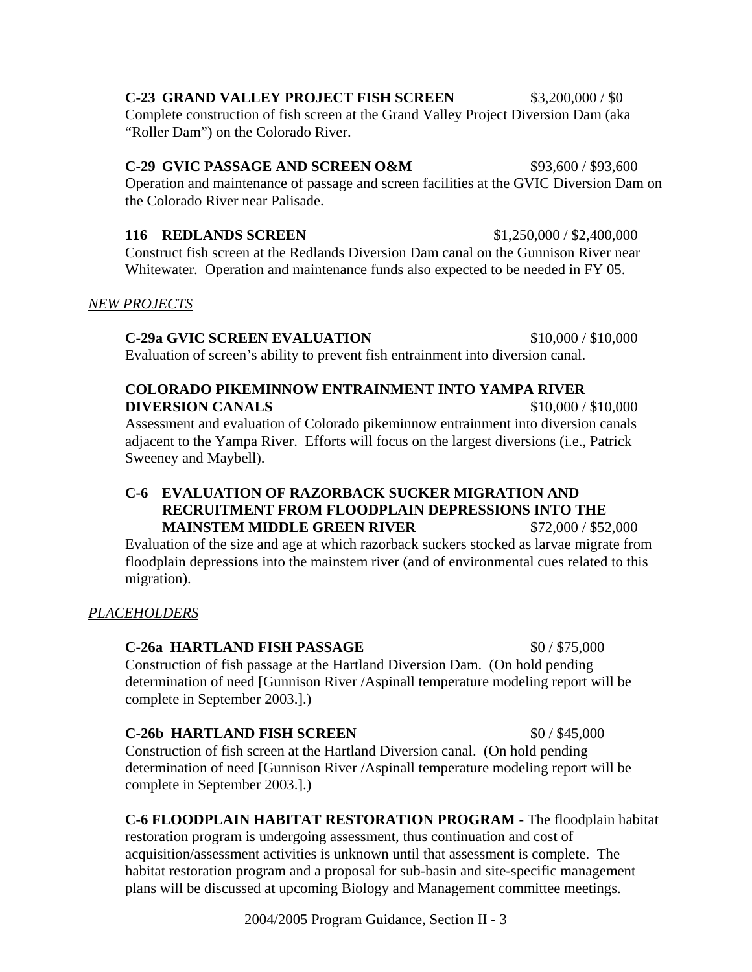# "Roller Dam") on the Colorado River.

# **C-29 GVIC PASSAGE AND SCREEN O&M** \$93,600 / \$93,600

Operation and maintenance of passage and screen facilities at the GVIC Diversion Dam on the Colorado River near Palisade.

**116 REDLANDS SCREEN** \$1,250,000 / \$2,400,000 Construct fish screen at the Redlands Diversion Dam canal on the Gunnison River near Whitewater. Operation and maintenance funds also expected to be needed in FY 05.

# *NEW PROJECTS*

# **C-29a GVIC SCREEN EVALUATION** \$10,000 / \$10,000

Evaluation of screen's ability to prevent fish entrainment into diversion canal.

#### **COLORADO PIKEMINNOW ENTRAINMENT INTO YAMPA RIVER DIVERSION CANALS** \$10,000 / \$10,000

Assessment and evaluation of Colorado pikeminnow entrainment into diversion canals adjacent to the Yampa River. Efforts will focus on the largest diversions (i.e., Patrick Sweeney and Maybell).

# **C-6 EVALUATION OF RAZORBACK SUCKER MIGRATION AND RECRUITMENT FROM FLOODPLAIN DEPRESSIONS INTO THE MAINSTEM MIDDLE GREEN RIVER** \$72,000 / \$52,000

Evaluation of the size and age at which razorback suckers stocked as larvae migrate from floodplain depressions into the mainstem river (and of environmental cues related to this migration).

# *PLACEHOLDERS*

# **C-26a HARTLAND FISH PASSAGE \$0 / \$75,000 \$0 / \$75,000 \$0 / \$75.000 \$0 / \$75.000 \$0**  $\mu$

Construction of fish passage at the Hartland Diversion Dam. (On hold pending determination of need [Gunnison River /Aspinall temperature modeling report will be complete in September 2003.].)

# **C-26b HARTLAND FISH SCREEN** \$0 / \$45,000

Construction of fish screen at the Hartland Diversion canal. (On hold pending determination of need [Gunnison River /Aspinall temperature modeling report will be complete in September 2003.].)

**C-6 FLOODPLAIN HABITAT RESTORATION PROGRAM** - The floodplain habitat restoration program is undergoing assessment, thus continuation and cost of acquisition/assessment activities is unknown until that assessment is complete. The habitat restoration program and a proposal for sub-basin and site-specific management plans will be discussed at upcoming Biology and Management committee meetings.

2004/2005 Program Guidance, Section II - 3

Complete construction of fish screen at the Grand Valley Project Diversion Dam (aka

**C-23 GRAND VALLEY PROJECT FISH SCREEN** \$3,200,000 / \$0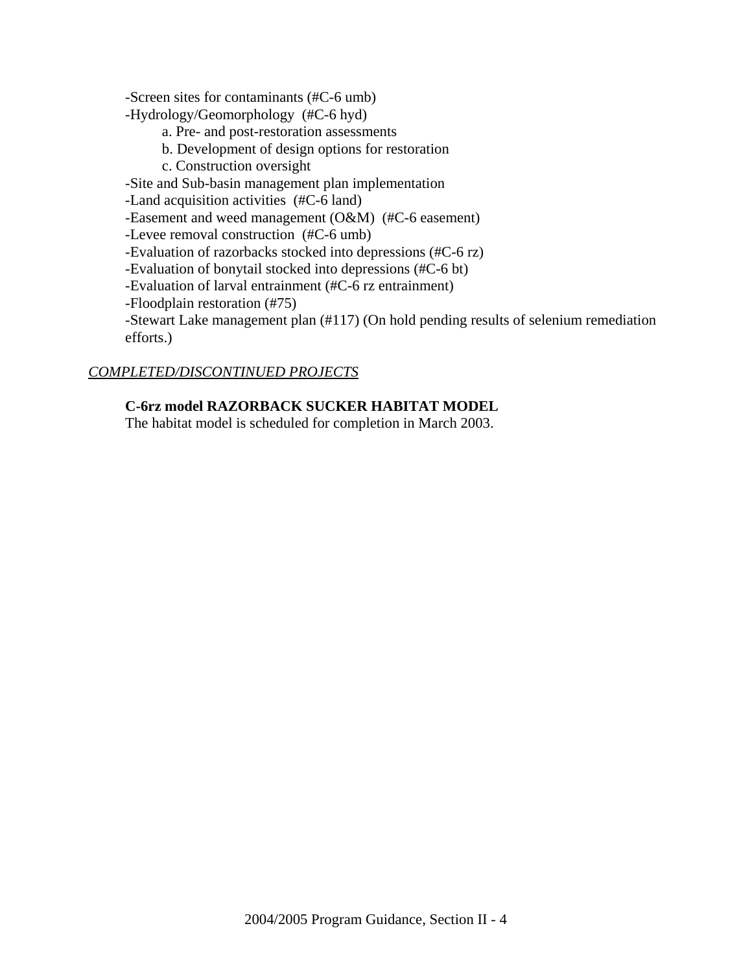-Screen sites for contaminants (#C-6 umb)

- -Hydrology/Geomorphology (#C-6 hyd)
	- a. Pre- and post-restoration assessments
	- b. Development of design options for restoration
	- c. Construction oversight
- -Site and Sub-basin management plan implementation

-Land acquisition activities (#C-6 land)

-Easement and weed management (O&M) (#C-6 easement)

-Levee removal construction (#C-6 umb)

-Evaluation of razorbacks stocked into depressions (#C-6 rz)

-Evaluation of bonytail stocked into depressions (#C-6 bt)

-Evaluation of larval entrainment (#C-6 rz entrainment)

-Floodplain restoration (#75)

-Stewart Lake management plan (#117) (On hold pending results of selenium remediation efforts.)

#### *COMPLETED/DISCONTINUED PROJECTS*

#### **C-6rz model RAZORBACK SUCKER HABITAT MODEL**

The habitat model is scheduled for completion in March 2003.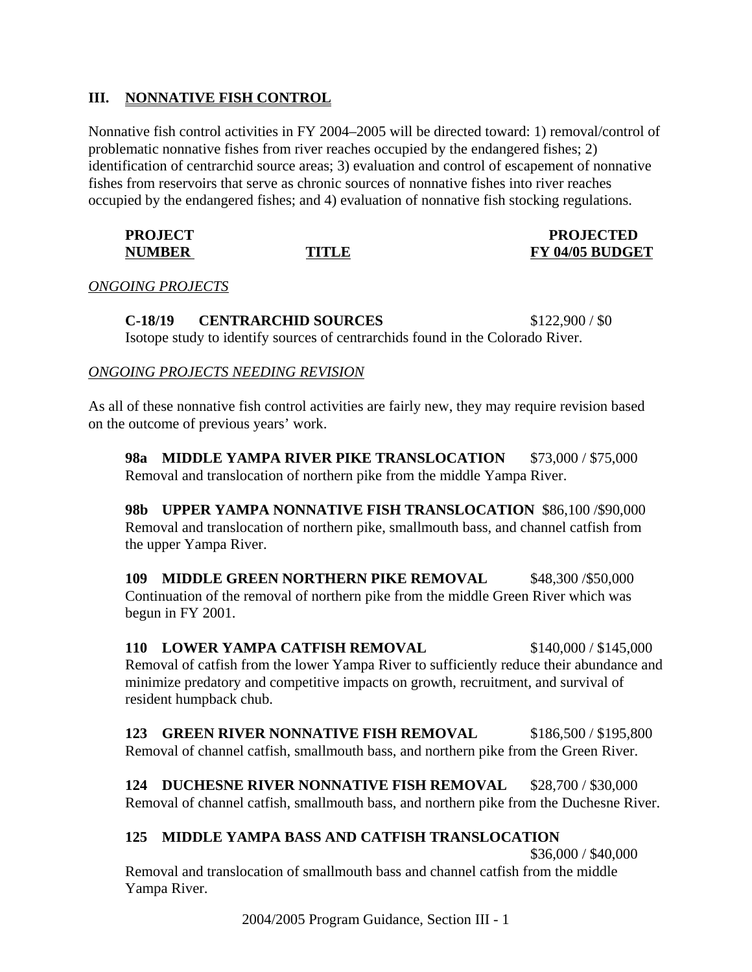#### **III. NONNATIVE FISH CONTROL**

Nonnative fish control activities in FY 2004–2005 will be directed toward: 1) removal/control of problematic nonnative fishes from river reaches occupied by the endangered fishes; 2) identification of centrarchid source areas; 3) evaluation and control of escapement of nonnative fishes from reservoirs that serve as chronic sources of nonnative fishes into river reaches occupied by the endangered fishes; and 4) evaluation of nonnative fish stocking regulations.

| <b>PROJECT</b> |       | <b>PROJECTED</b> |
|----------------|-------|------------------|
| <b>NUMBER</b>  | TITLE | FY 04/05 BUDGET  |

*ONGOING PROJECTS*

Yampa River.

**C-18/19 CENTRARCHID SOURCES** \$122,900 / \$0 Isotope study to identify sources of centrarchids found in the Colorado River.

#### *ONGOING PROJECTS NEEDING REVISION*

As all of these nonnative fish control activities are fairly new, they may require revision based on the outcome of previous years' work.

**98a MIDDLE YAMPA RIVER PIKE TRANSLOCATION** \$73,000 / \$75,000 Removal and translocation of northern pike from the middle Yampa River.

**98b UPPER YAMPA NONNATIVE FISH TRANSLOCATION** \$86,100 /\$90,000 Removal and translocation of northern pike, smallmouth bass, and channel catfish from the upper Yampa River.

**109 MIDDLE GREEN NORTHERN PIKE REMOVAL \$48,300 /\$50,000** Continuation of the removal of northern pike from the middle Green River which was begun in FY 2001.

**110 LOWER YAMPA CATFISH REMOVAL \$140,000 / \$145,000** Removal of catfish from the lower Yampa River to sufficiently reduce their abundance and minimize predatory and competitive impacts on growth, recruitment, and survival of resident humpback chub.

**123 GREEN RIVER NONNATIVE FISH REMOVAL \$186,500 / \$195,800** Removal of channel catfish, smallmouth bass, and northern pike from the Green River.

**124 DUCHESNE RIVER NONNATIVE FISH REMOVAL** \$28,700 / \$30,000 Removal of channel catfish, smallmouth bass, and northern pike from the Duchesne River.

#### **125 MIDDLE YAMPA BASS AND CATFISH TRANSLOCATION**

\$36,000 / \$40,000 Removal and translocation of smallmouth bass and channel catfish from the middle

2004/2005 Program Guidance, Section III - 1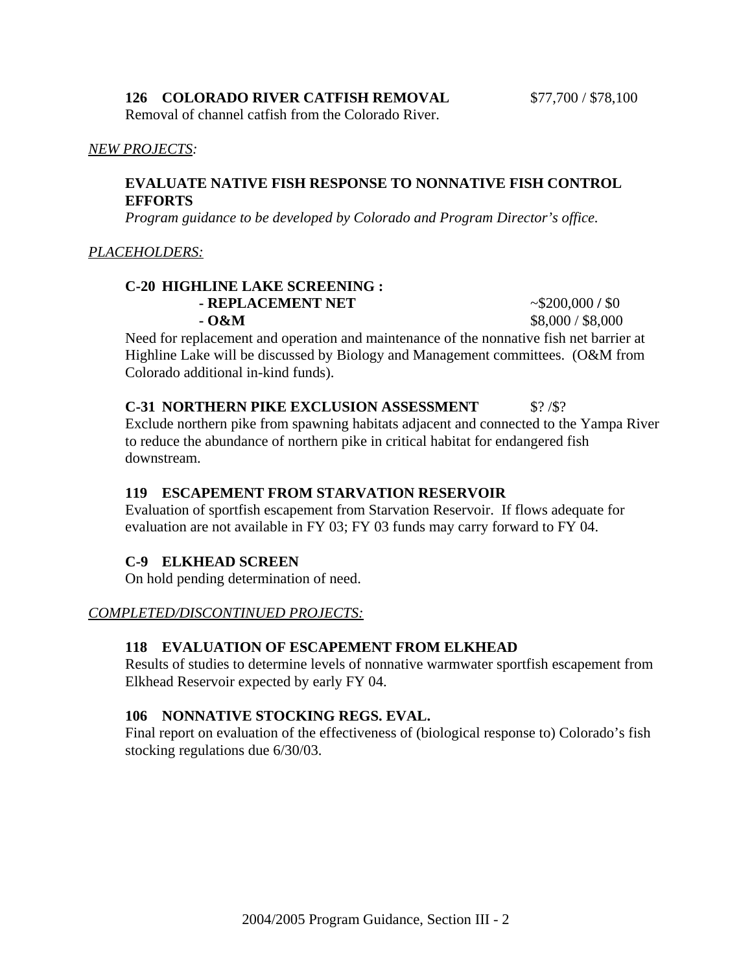#### **126 COLORADO RIVER CATFISH REMOVAL** \$77,700 / \$78,100

Removal of channel catfish from the Colorado River.

#### *NEW PROJECTS:*

#### **EVALUATE NATIVE FISH RESPONSE TO NONNATIVE FISH CONTROL EFFORTS**

*Program guidance to be developed by Colorado and Program Director's office.*

#### *PLACEHOLDERS:*

# **C-20 HIGHLINE LAKE SCREENING : - REPLACEMENT NET** ~\$200,000 **/** \$0

**- O&M**  $$8,000 / $8,000$ Need for replacement and operation and maintenance of the nonnative fish net barrier at Highline Lake will be discussed by Biology and Management committees. (O&M from Colorado additional in-kind funds).

#### **C-31 NORTHERN PIKE EXCLUSION ASSESSMENT** \$? /\$?

Exclude northern pike from spawning habitats adjacent and connected to the Yampa River to reduce the abundance of northern pike in critical habitat for endangered fish downstream.

#### **119 ESCAPEMENT FROM STARVATION RESERVOIR**

Evaluation of sportfish escapement from Starvation Reservoir. If flows adequate for evaluation are not available in FY 03; FY 03 funds may carry forward to FY 04.

#### **C-9 ELKHEAD SCREEN**

On hold pending determination of need.

#### *COMPLETED/DISCONTINUED PROJECTS:*

#### **118 EVALUATION OF ESCAPEMENT FROM ELKHEAD**

Results of studies to determine levels of nonnative warmwater sportfish escapement from Elkhead Reservoir expected by early FY 04.

#### **106 NONNATIVE STOCKING REGS. EVAL.**

Final report on evaluation of the effectiveness of (biological response to) Colorado's fish stocking regulations due 6/30/03.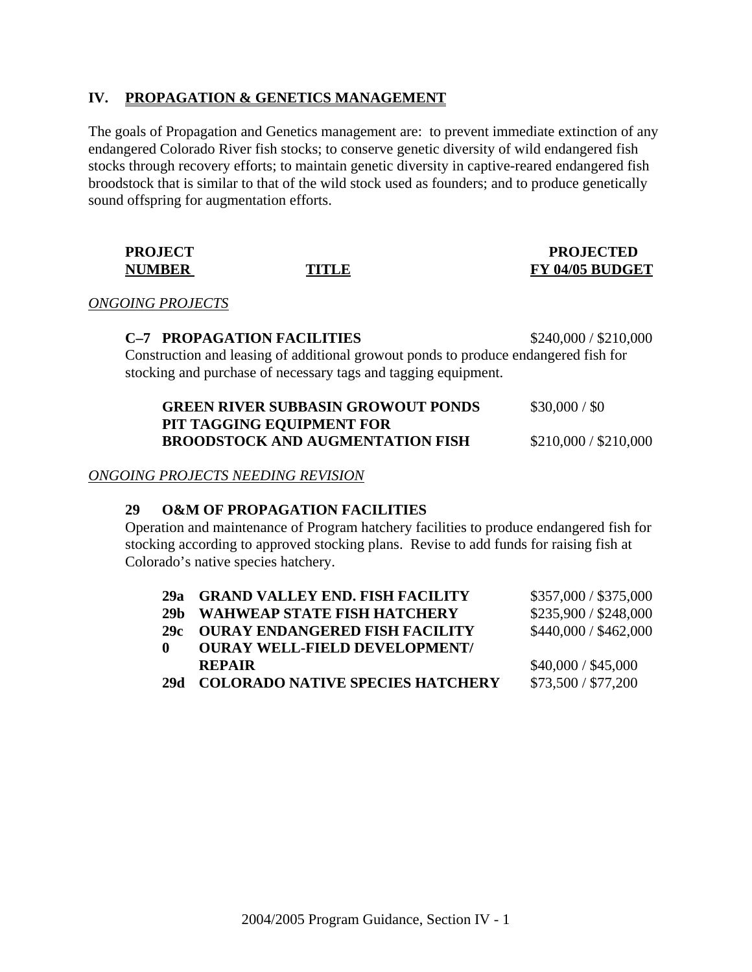#### **IV. PROPAGATION & GENETICS MANAGEMENT**

The goals of Propagation and Genetics management are: to prevent immediate extinction of any endangered Colorado River fish stocks; to conserve genetic diversity of wild endangered fish stocks through recovery efforts; to maintain genetic diversity in captive-reared endangered fish broodstock that is similar to that of the wild stock used as founders; and to produce genetically sound offspring for augmentation efforts.

#### **PROJECT PROJECT PROJECTED NUMBER TITLE FY 04/05 BUDGET**

*ONGOING PROJECTS*

#### **C–7 PROPAGATION FACILITIES** \$240,000 / \$210,000

Construction and leasing of additional growout ponds to produce endangered fish for stocking and purchase of necessary tags and tagging equipment.

| <b>GREEN RIVER SUBBASIN GROWOUT PONDS</b> | \$30,000 / \$0        |
|-------------------------------------------|-----------------------|
| PIT TAGGING EQUIPMENT FOR                 |                       |
| <b>BROODSTOCK AND AUGMENTATION FISH</b>   | \$210,000 / \$210,000 |

#### *ONGOING PROJECTS NEEDING REVISION*

#### **29 O&M OF PROPAGATION FACILITIES**

Operation and maintenance of Program hatchery facilities to produce endangered fish for stocking according to approved stocking plans. Revise to add funds for raising fish at Colorado's native species hatchery.

|                 | 29a GRAND VALLEY END. FISH FACILITY   | \$357,000 / \$375,000 |
|-----------------|---------------------------------------|-----------------------|
| 29 <sub>b</sub> | WAHWEAP STATE FISH HATCHERY           | \$235,900 / \$248,000 |
| 29c             | <b>OURAY ENDANGERED FISH FACILITY</b> | \$440,000 / \$462,000 |
| $\mathbf{0}$    | <b>OURAY WELL-FIELD DEVELOPMENT/</b>  |                       |
|                 | <b>REPAIR</b>                         | \$40,000 / \$45,000   |
|                 | 29d COLORADO NATIVE SPECIES HATCHERY  | \$73,500 / \$77,200   |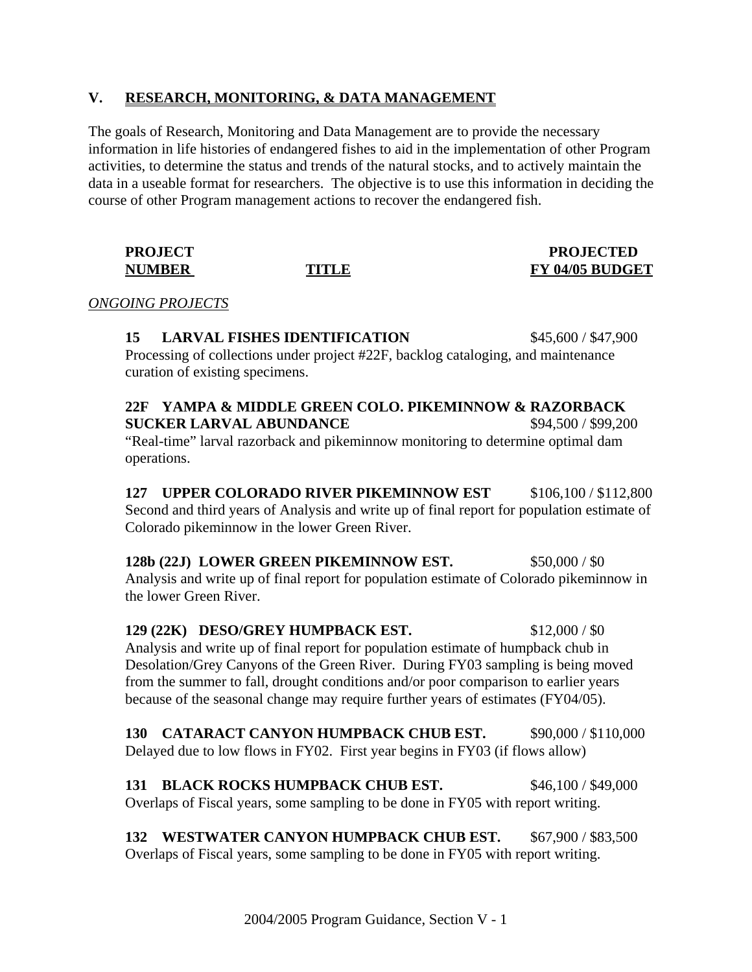#### **V. RESEARCH, MONITORING, & DATA MANAGEMENT**

The goals of Research, Monitoring and Data Management are to provide the necessary information in life histories of endangered fishes to aid in the implementation of other Program activities, to determine the status and trends of the natural stocks, and to actively maintain the data in a useable format for researchers. The objective is to use this information in deciding the course of other Program management actions to recover the endangered fish.

| <b>PROJECT</b> |       | <b>PROJECTED</b> |
|----------------|-------|------------------|
| <b>NUMBER</b>  | TITLE | FY 04/05 BUDGET  |

*ONGOING PROJECTS*

**15 LARVAL FISHES IDENTIFICATION** \$45,600 / \$47,900 Processing of collections under project #22F, backlog cataloging, and maintenance curation of existing specimens.

**22F YAMPA & MIDDLE GREEN COLO. PIKEMINNOW & RAZORBACK SUCKER LARVAL ABUNDANCE** \$94,500 / \$99,200 "Real-time" larval razorback and pikeminnow monitoring to determine optimal dam operations.

**127 UPPER COLORADO RIVER PIKEMINNOW EST** \$106,100 / \$112,800 Second and third years of Analysis and write up of final report for population estimate of Colorado pikeminnow in the lower Green River.

**128b (22J) LOWER GREEN PIKEMINNOW EST.** \$50,000 / \$0 Analysis and write up of final report for population estimate of Colorado pikeminnow in the lower Green River.

**129 (22K) DESO/GREY HUMPBACK EST.** \$12,000 / \$0 Analysis and write up of final report for population estimate of humpback chub in Desolation/Grey Canyons of the Green River. During FY03 sampling is being moved from the summer to fall, drought conditions and/or poor comparison to earlier years because of the seasonal change may require further years of estimates (FY04/05).

**130 CATARACT CANYON HUMPBACK CHUB EST.** \$90,000 / \$110,000 Delayed due to low flows in FY02. First year begins in FY03 (if flows allow)

**131 BLACK ROCKS HUMPBACK CHUB EST.** \$46,100 / \$49,000 Overlaps of Fiscal years, some sampling to be done in FY05 with report writing.

**132 WESTWATER CANYON HUMPBACK CHUB EST.** \$67,900 / \$83,500 Overlaps of Fiscal years, some sampling to be done in FY05 with report writing.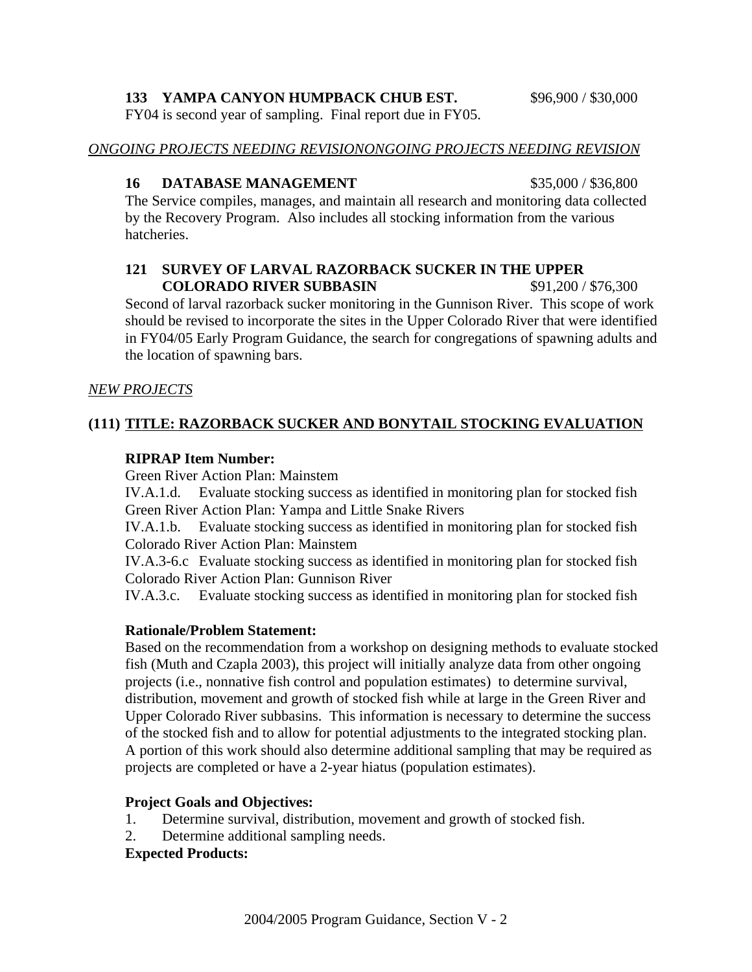# **133 YAMPA CANYON HUMPBACK CHUB EST.** \$96,900 / \$30,000

FY04 is second year of sampling. Final report due in FY05.

#### *ONGOING PROJECTS NEEDING REVISIONONGOING PROJECTS NEEDING REVISION*

#### **16 DATABASE MANAGEMENT** \$35,000 / \$36,800

The Service compiles, manages, and maintain all research and monitoring data collected by the Recovery Program. Also includes all stocking information from the various hatcheries.

#### **121 SURVEY OF LARVAL RAZORBACK SUCKER IN THE UPPER COLORADO RIVER SUBBASIN** \$91,200 / \$76,300

Second of larval razorback sucker monitoring in the Gunnison River. This scope of work should be revised to incorporate the sites in the Upper Colorado River that were identified in FY04/05 Early Program Guidance, the search for congregations of spawning adults and the location of spawning bars.

#### *NEW PROJECTS*

#### **(111) TITLE: RAZORBACK SUCKER AND BONYTAIL STOCKING EVALUATION**

#### **RIPRAP Item Number:**

Green River Action Plan: Mainstem

IV.A.1.d. Evaluate stocking success as identified in monitoring plan for stocked fish Green River Action Plan: Yampa and Little Snake Rivers

IV.A.1.b. Evaluate stocking success as identified in monitoring plan for stocked fish Colorado River Action Plan: Mainstem

IV.A.3-6.c Evaluate stocking success as identified in monitoring plan for stocked fish Colorado River Action Plan: Gunnison River

IV.A.3.c. Evaluate stocking success as identified in monitoring plan for stocked fish

#### **Rationale/Problem Statement:**

Based on the recommendation from a workshop on designing methods to evaluate stocked fish (Muth and Czapla 2003), this project will initially analyze data from other ongoing projects (i.e., nonnative fish control and population estimates) to determine survival, distribution, movement and growth of stocked fish while at large in the Green River and Upper Colorado River subbasins. This information is necessary to determine the success of the stocked fish and to allow for potential adjustments to the integrated stocking plan. A portion of this work should also determine additional sampling that may be required as projects are completed or have a 2-year hiatus (population estimates).

#### **Project Goals and Objectives:**

- 1. Determine survival, distribution, movement and growth of stocked fish.
- 2. Determine additional sampling needs.

#### **Expected Products:**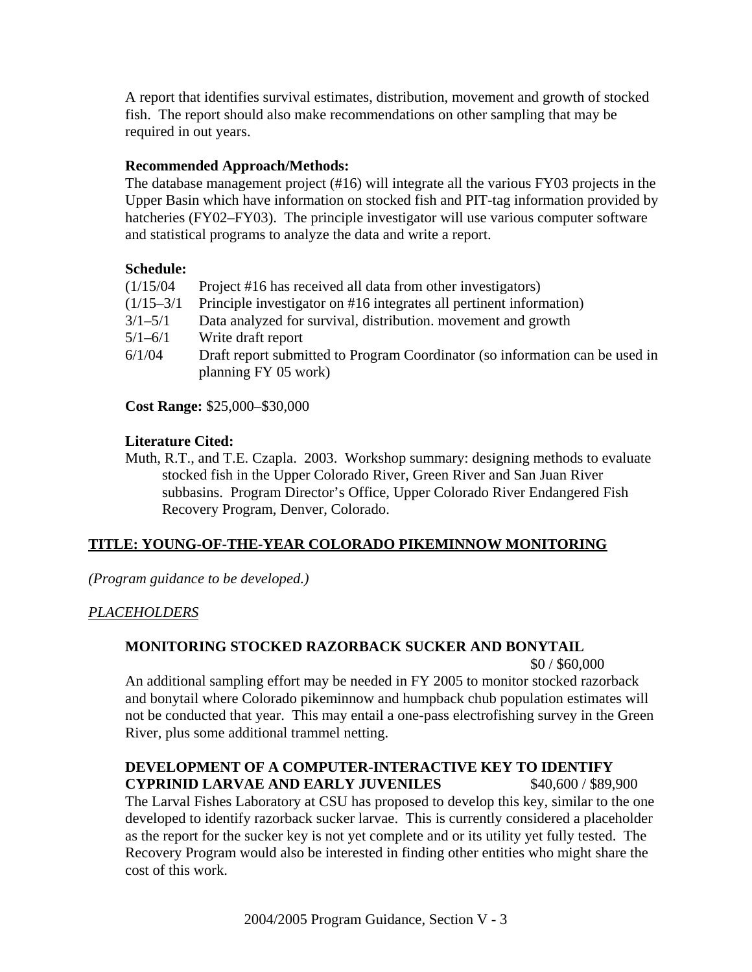A report that identifies survival estimates, distribution, movement and growth of stocked fish. The report should also make recommendations on other sampling that may be required in out years.

#### **Recommended Approach/Methods:**

The database management project (#16) will integrate all the various FY03 projects in the Upper Basin which have information on stocked fish and PIT-tag information provided by hatcheries (FY02–FY03). The principle investigator will use various computer software and statistical programs to analyze the data and write a report.

#### **Schedule:**

| (1/15/04)    | Project #16 has received all data from other investigators)                                          |
|--------------|------------------------------------------------------------------------------------------------------|
| $(1/15-3/1)$ | Principle investigator on #16 integrates all pertinent information)                                  |
| $3/1 - 5/1$  | Data analyzed for survival, distribution. movement and growth                                        |
| $5/1 - 6/1$  | Write draft report                                                                                   |
| 6/1/04       | Draft report submitted to Program Coordinator (so information can be used in<br>planning FY 05 work) |

**Cost Range:** \$25,000–\$30,000

#### **Literature Cited:**

Muth, R.T., and T.E. Czapla. 2003. Workshop summary: designing methods to evaluate stocked fish in the Upper Colorado River, Green River and San Juan River subbasins. Program Director's Office, Upper Colorado River Endangered Fish Recovery Program, Denver, Colorado.

# **TITLE: YOUNG-OF-THE-YEAR COLORADO PIKEMINNOW MONITORING**

*(Program guidance to be developed.)*

#### *PLACEHOLDERS*

#### **MONITORING STOCKED RAZORBACK SUCKER AND BONYTAIL**

\$0 / \$60,000

An additional sampling effort may be needed in FY 2005 to monitor stocked razorback and bonytail where Colorado pikeminnow and humpback chub population estimates will not be conducted that year. This may entail a one-pass electrofishing survey in the Green River, plus some additional trammel netting.

#### **DEVELOPMENT OF A COMPUTER-INTERACTIVE KEY TO IDENTIFY CYPRINID LARVAE AND EARLY JUVENILES** \$40,600 / \$89,900

The Larval Fishes Laboratory at CSU has proposed to develop this key, similar to the one developed to identify razorback sucker larvae. This is currently considered a placeholder as the report for the sucker key is not yet complete and or its utility yet fully tested. The Recovery Program would also be interested in finding other entities who might share the cost of this work.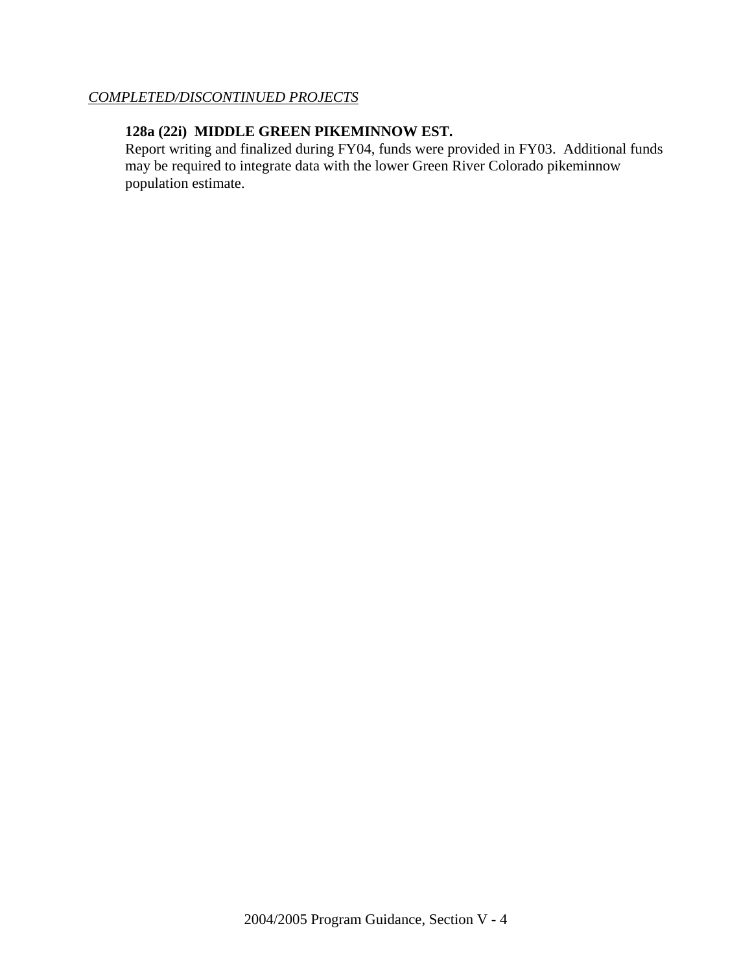# *COMPLETED/DISCONTINUED PROJECTS*

# **128a (22i) MIDDLE GREEN PIKEMINNOW EST.**

Report writing and finalized during FY04, funds were provided in FY03. Additional funds may be required to integrate data with the lower Green River Colorado pikeminnow population estimate.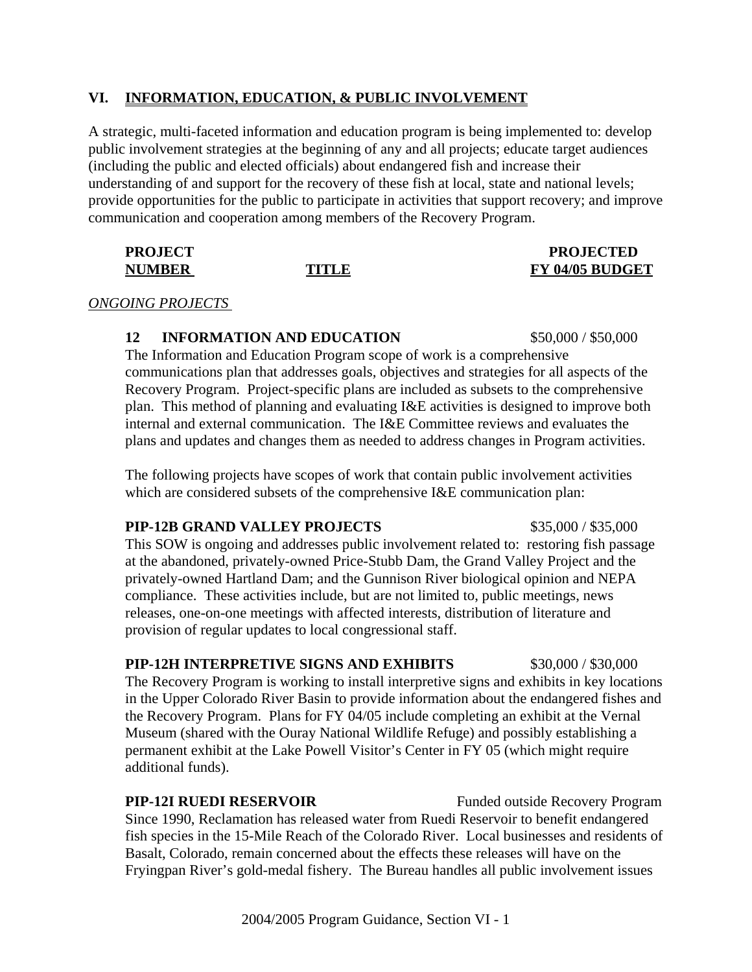#### **VI. INFORMATION, EDUCATION, & PUBLIC INVOLVEMENT**

A strategic, multi-faceted information and education program is being implemented to: develop public involvement strategies at the beginning of any and all projects; educate target audiences (including the public and elected officials) about endangered fish and increase their understanding of and support for the recovery of these fish at local, state and national levels; provide opportunities for the public to participate in activities that support recovery; and improve communication and cooperation among members of the Recovery Program.

# PROJECT PROJECTED **NUMBER TITLE FY 04/05 BUDGET**

#### *ONGOING PROJECTS*

#### **12 INFORMATION AND EDUCATION** \$50,000 / \$50,000

The Information and Education Program scope of work is a comprehensive communications plan that addresses goals, objectives and strategies for all aspects of the Recovery Program. Project-specific plans are included as subsets to the comprehensive plan. This method of planning and evaluating I&E activities is designed to improve both internal and external communication. The I&E Committee reviews and evaluates the plans and updates and changes them as needed to address changes in Program activities.

The following projects have scopes of work that contain public involvement activities which are considered subsets of the comprehensive I&E communication plan:

#### **PIP-12B GRAND VALLEY PROJECTS** \$35,000 / \$35,000

This SOW is ongoing and addresses public involvement related to: restoring fish passage at the abandoned, privately-owned Price-Stubb Dam, the Grand Valley Project and the privately-owned Hartland Dam; and the Gunnison River biological opinion and NEPA compliance. These activities include, but are not limited to, public meetings, news releases, one-on-one meetings with affected interests, distribution of literature and provision of regular updates to local congressional staff.

#### **PIP-12H INTERPRETIVE SIGNS AND EXHIBITS** \$30,000 / \$30,000

The Recovery Program is working to install interpretive signs and exhibits in key locations in the Upper Colorado River Basin to provide information about the endangered fishes and the Recovery Program. Plans for FY 04/05 include completing an exhibit at the Vernal Museum (shared with the Ouray National Wildlife Refuge) and possibly establishing a permanent exhibit at the Lake Powell Visitor's Center in FY 05 (which might require additional funds).

**PIP-12I RUEDI RESERVOIR** Funded outside Recovery Program Since 1990, Reclamation has released water from Ruedi Reservoir to benefit endangered fish species in the 15-Mile Reach of the Colorado River. Local businesses and residents of Basalt, Colorado, remain concerned about the effects these releases will have on the Fryingpan River's gold-medal fishery. The Bureau handles all public involvement issues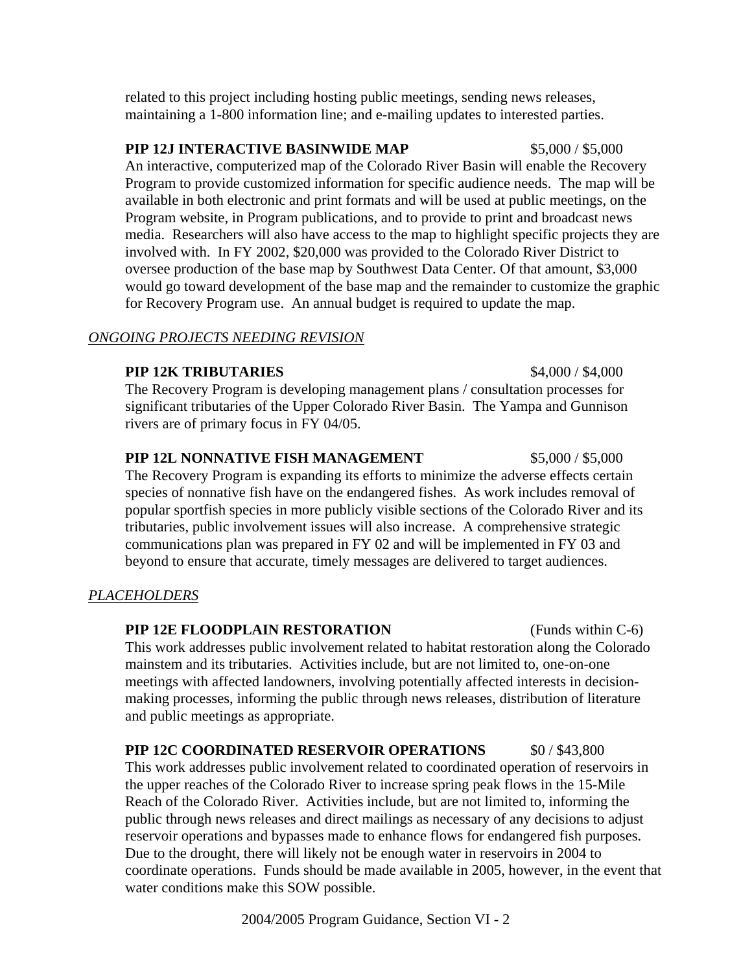2004/2005 Program Guidance, Section VI - 2

related to this project including hosting public meetings, sending news releases, maintaining a 1-800 information line; and e-mailing updates to interested parties.

#### **PIP 12J INTERACTIVE BASINWIDE MAP** \$5,000 / \$5,000

An interactive, computerized map of the Colorado River Basin will enable the Recovery Program to provide customized information for specific audience needs. The map will be available in both electronic and print formats and will be used at public meetings, on the Program website, in Program publications, and to provide to print and broadcast news media. Researchers will also have access to the map to highlight specific projects they are involved with. In FY 2002, \$20,000 was provided to the Colorado River District to oversee production of the base map by Southwest Data Center. Of that amount, \$3,000 would go toward development of the base map and the remainder to customize the graphic for Recovery Program use. An annual budget is required to update the map.

#### *ONGOING PROJECTS NEEDING REVISION*

#### **PIP 12K TRIBUTARIES** \$4,000 / \$4,000

The Recovery Program is developing management plans / consultation processes for significant tributaries of the Upper Colorado River Basin. The Yampa and Gunnison rivers are of primary focus in FY 04/05.

#### **PIP 12L NONNATIVE FISH MANAGEMENT** \$5,000 / \$5,000

The Recovery Program is expanding its efforts to minimize the adverse effects certain species of nonnative fish have on the endangered fishes. As work includes removal of popular sportfish species in more publicly visible sections of the Colorado River and its tributaries, public involvement issues will also increase. A comprehensive strategic communications plan was prepared in FY 02 and will be implemented in FY 03 and beyond to ensure that accurate, timely messages are delivered to target audiences.

#### *PLACEHOLDERS*

**PIP 12E FLOODPLAIN RESTORATION** (Funds within C-6) This work addresses public involvement related to habitat restoration along the Colorado mainstem and its tributaries. Activities include, but are not limited to, one-on-one meetings with affected landowners, involving potentially affected interests in decisionmaking processes, informing the public through news releases, distribution of literature and public meetings as appropriate.

# **PIP 12C COORDINATED RESERVOIR OPERATIONS** \$0 / \$43,800

This work addresses public involvement related to coordinated operation of reservoirs in the upper reaches of the Colorado River to increase spring peak flows in the 15-Mile Reach of the Colorado River. Activities include, but are not limited to, informing the public through news releases and direct mailings as necessary of any decisions to adjust reservoir operations and bypasses made to enhance flows for endangered fish purposes. Due to the drought, there will likely not be enough water in reservoirs in 2004 to coordinate operations. Funds should be made available in 2005, however, in the event that water conditions make this SOW possible.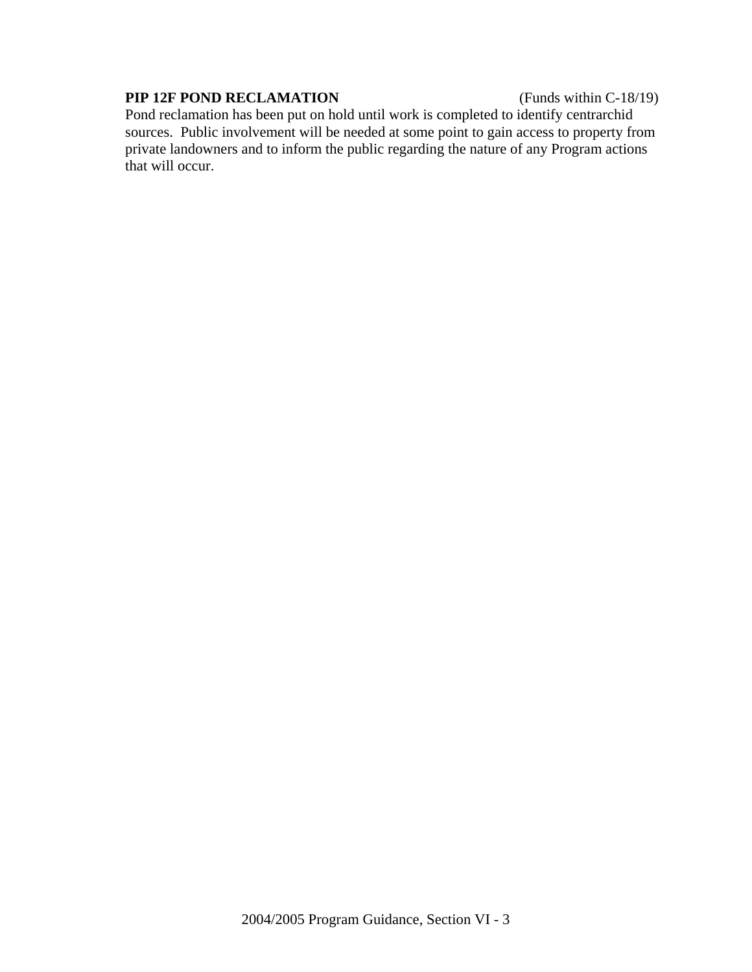# **PIP 12F POND RECLAMATION** (Funds within C-18/19)

Pond reclamation has been put on hold until work is completed to identify centrarchid sources. Public involvement will be needed at some point to gain access to property from private landowners and to inform the public regarding the nature of any Program actions that will occur.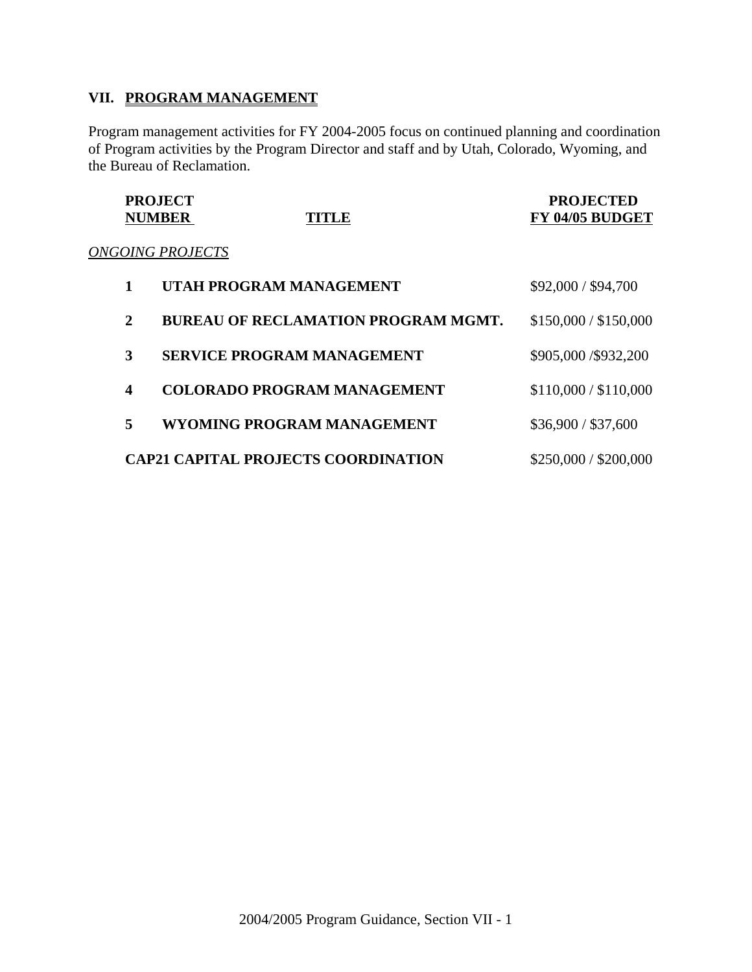# **VII. PROGRAM MANAGEMENT**

Program management activities for FY 2004-2005 focus on continued planning and coordination of Program activities by the Program Director and staff and by Utah, Colorado, Wyoming, and the Bureau of Reclamation.

|                  | <b>PROJECT</b><br><b>NUMBER</b><br>TITLE   | <b>PROJECTED</b><br>FY 04/05 BUDGET |
|------------------|--------------------------------------------|-------------------------------------|
|                  | <b>ONGOING PROJECTS</b>                    |                                     |
| $\mathbf{1}$     | UTAH PROGRAM MANAGEMENT                    | \$92,000 / \$94,700                 |
| $\overline{2}$   | <b>BUREAU OF RECLAMATION PROGRAM MGMT.</b> | \$150,000 / \$150,000               |
| 3                | <b>SERVICE PROGRAM MANAGEMENT</b>          | \$905,000 / \$932,200               |
| $\boldsymbol{4}$ | <b>COLORADO PROGRAM MANAGEMENT</b>         | \$110,000 / \$110,000               |
| 5                | WYOMING PROGRAM MANAGEMENT                 | \$36,900 / \$37,600                 |
|                  | <b>CAP21 CAPITAL PROJECTS COORDINATION</b> | \$250,000 / \$200,000               |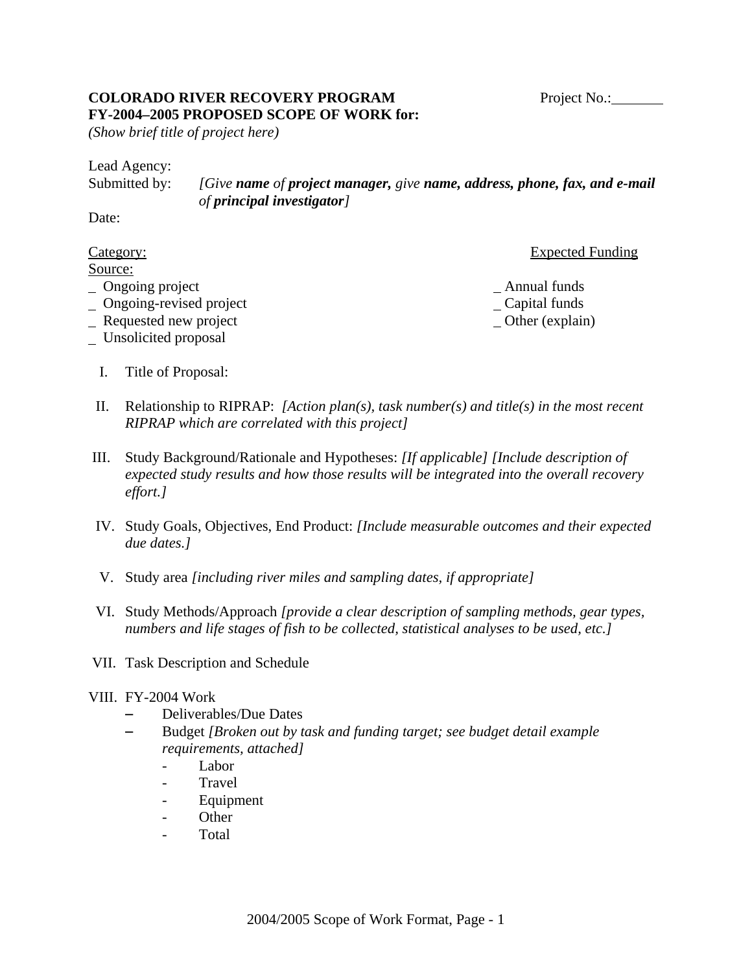# **FY-2004–2005 PROPOSED SCOPE OF WORK for:** *(Show brief title of project here)*

| Lead Agency:  |                                                                           |
|---------------|---------------------------------------------------------------------------|
| Submitted by: | [Give name of project manager, give name, address, phone, fax, and e-mail |
|               | of principal investigator]                                                |

Date:

# Category: Expected Funding

# Source:

- No. 2. Ongoing project **Annual funds**
- non-text project and the capital funds no capital funds and capital funds no capital funds no capital funds no capital funds no capital funds no capital funds no capital funds no capital funds no capital funds no capital f
- Requested new project Other (explain)
- Unsolicited proposal
	- I. Title of Proposal:
- II. Relationship to RIPRAP: *[Action plan(s), task number(s) and title(s) in the most recent RIPRAP which are correlated with this project]*
- III. Study Background/Rationale and Hypotheses: *[If applicable] [Include description of expected study results and how those results will be integrated into the overall recovery effort.]*
- IV. Study Goals, Objectives, End Product: *[Include measurable outcomes and their expected due dates.]*
- V. Study area *[including river miles and sampling dates, if appropriate]*
- VI. Study Methods/Approach *[provide a clear description of sampling methods, gear types, numbers and life stages of fish to be collected, statistical analyses to be used, etc.]*
- VII. Task Description and Schedule

# VIII. FY-2004 Work

- Deliverables/Due Dates
- S Budget *[Broken out by task and funding target; see budget detail example requirements, attached]*
	- Labor
	- **Travel**
	- Equipment
	- Other
	- Total

**COLORADO RIVER RECOVERY PROGRAM** Project No.: Project No.: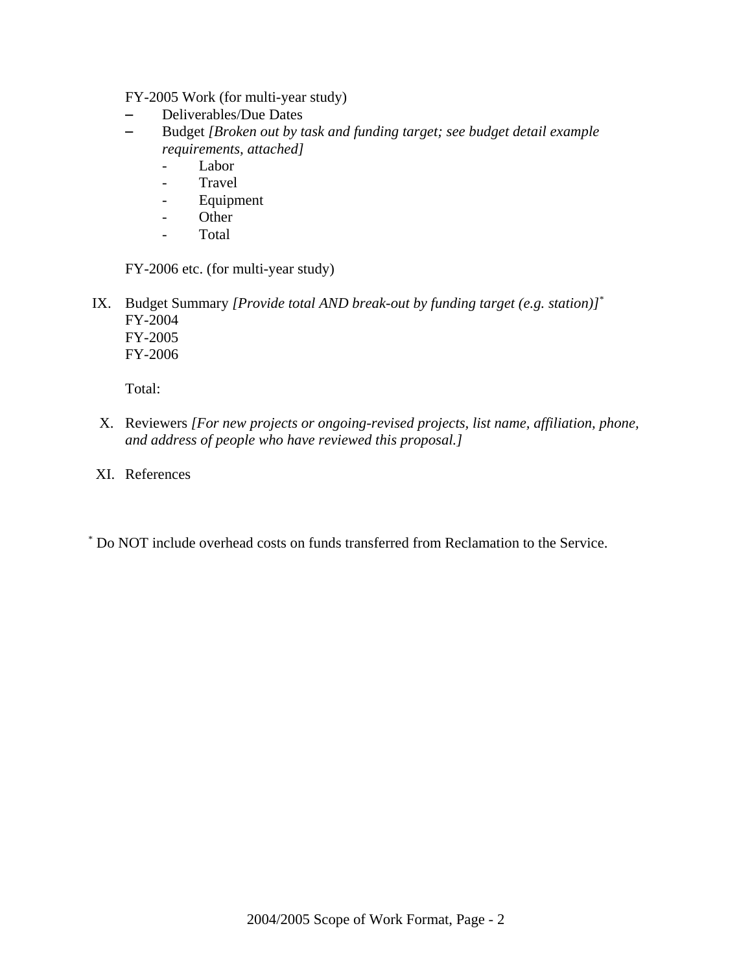FY-2005 Work (for multi-year study)

- Deliverables/Due Dates
- S Budget *[Broken out by task and funding target; see budget detail example requirements, attached]*
	- Labor
	- Travel
	- **Equipment**
	- Other
	- Total

FY-2006 etc. (for multi-year study)

 IX. Budget Summary *[Provide total AND break-out by funding target (e.g. station)]*\* FY-2004 FY-2005 FY-2006

Total:

- X. Reviewers *[For new projects or ongoing-revised projects, list name, affiliation, phone, and address of people who have reviewed this proposal.]*
- XI. References
- \* Do NOT include overhead costs on funds transferred from Reclamation to the Service.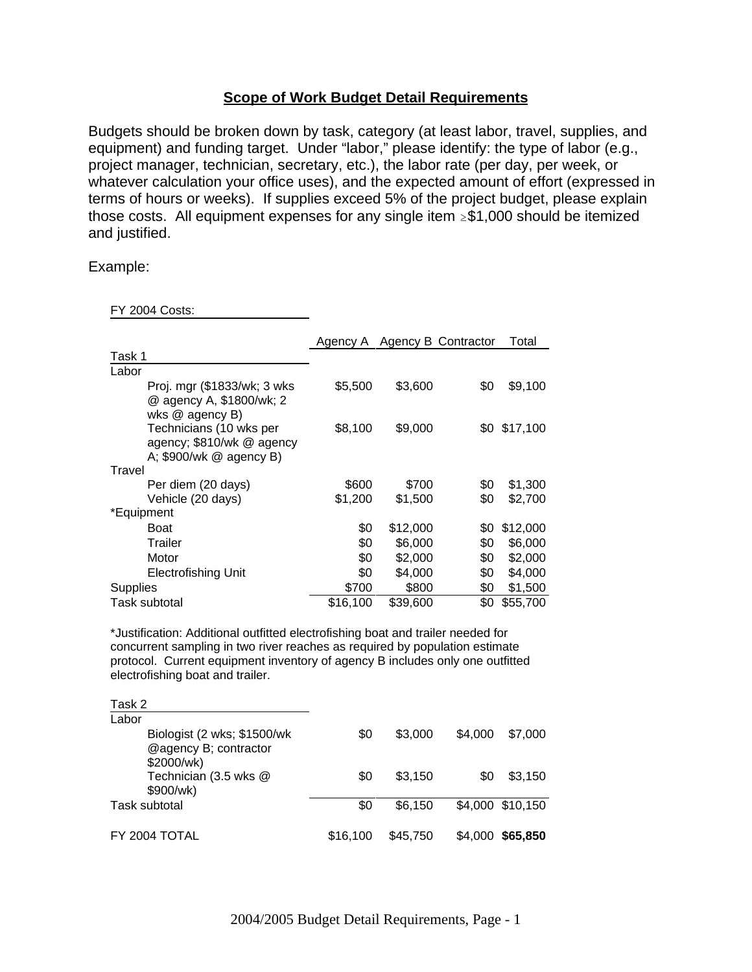#### **Scope of Work Budget Detail Requirements**

Budgets should be broken down by task, category (at least labor, travel, supplies, and equipment) and funding target. Under "labor," please identify: the type of labor (e.g., project manager, technician, secretary, etc.), the labor rate (per day, per week, or whatever calculation your office uses), and the expected amount of effort (expressed in terms of hours or weeks). If supplies exceed 5% of the project budget, please explain those costs. All equipment expenses for any single item  $\geq$ \$1,000 should be itemized and justified.

Example:

FY 2004 Costs:

|                                                                                    |          |          | Agency A Agency B Contractor | Total    |
|------------------------------------------------------------------------------------|----------|----------|------------------------------|----------|
| Task 1                                                                             |          |          |                              |          |
| Labor                                                                              |          |          |                              |          |
| Proj. mgr (\$1833/wk; 3 wks)<br>@ agency A, \$1800/wk; 2<br>wks @ agency B)        | \$5,500  | \$3,600  | \$0                          | \$9,100  |
| Technicians (10 wks per<br>agency; \$810/wk @ agency<br>A; $$900/wk \ @$ agency B) | \$8,100  | \$9,000  | \$0                          | \$17,100 |
| Travel                                                                             |          |          |                              |          |
| Per diem (20 days)                                                                 | \$600    | \$700    | \$0                          | \$1,300  |
| Vehicle (20 days)                                                                  | \$1,200  | \$1,500  | \$0                          | \$2,700  |
| *Equipment                                                                         |          |          |                              |          |
| Boat                                                                               | \$0      | \$12,000 | \$0                          | \$12,000 |
| Trailer                                                                            | \$0      | \$6,000  | \$0                          | \$6,000  |
| Motor                                                                              | \$0      | \$2,000  | \$0                          | \$2,000  |
| <b>Electrofishing Unit</b>                                                         | \$0      | \$4,000  | \$0                          | \$4,000  |
| <b>Supplies</b>                                                                    | \$700    | \$800    | \$0                          | \$1,500  |
| Task subtotal                                                                      | \$16,100 | \$39,600 | \$0                          | \$55,700 |

\*Justification: Additional outfitted electrofishing boat and trailer needed for concurrent sampling in two river reaches as required by population estimate protocol. Current equipment inventory of agency B includes only one outfitted electrofishing boat and trailer.

| Task 2                                                             |          |          |         |                  |
|--------------------------------------------------------------------|----------|----------|---------|------------------|
| Labor                                                              |          |          |         |                  |
| Biologist (2 wks; \$1500/wk<br>@agency B; contractor<br>\$2000/wk) | \$0      | \$3,000  | \$4.000 | \$7,000          |
| Technician (3.5 wks @<br>\$900/wk)                                 | \$0      | \$3.150  | \$0     | \$3,150          |
| Task subtotal                                                      | \$0      | \$6,150  |         | \$4,000 \$10,150 |
| FY 2004 TOTAL                                                      | \$16,100 | \$45,750 | \$4.000 | \$65,850         |